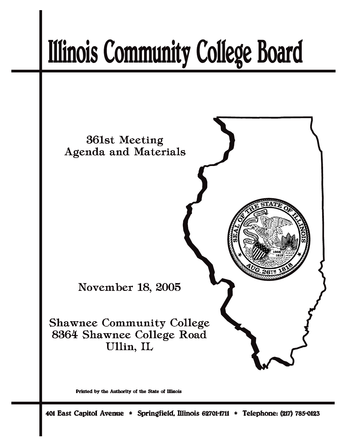# **Illinois Community College Board**



Printed by the Authority of the State of Illinois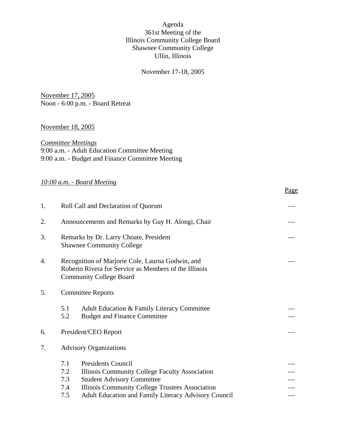## Agenda 361st Meeting of the Illinois Community College Board Shawnee Community College Ullin, Illinois

## November 17-18, 2005

November 17, 2005 Noon - 6:00 p.m. - Board Retreat

#### November 18, 2005

*Committee Meetings* 9:00 a.m. - Adult Education Committee Meeting 9:00 a.m. - Budget and Finance Committee Meeting

## *10:00 a.m. - Board Meeting*

|--|

| 1. | Roll Call and Declaration of Quorum                                        |                                                                                                                                                                                                                                    |  |
|----|----------------------------------------------------------------------------|------------------------------------------------------------------------------------------------------------------------------------------------------------------------------------------------------------------------------------|--|
| 2. |                                                                            | Announcements and Remarks by Guy H. Alongi, Chair                                                                                                                                                                                  |  |
| 3. | Remarks by Dr. Larry Choate, President<br><b>Shawnee Community College</b> |                                                                                                                                                                                                                                    |  |
| 4. |                                                                            | Recognition of Marjorie Cole, Laurna Godwin, and<br>Roberto Rivera for Service as Members of the Illinois<br><b>Community College Board</b>                                                                                        |  |
| 5. |                                                                            | <b>Committee Reports</b>                                                                                                                                                                                                           |  |
|    | 5.1<br>5.2                                                                 | Adult Education & Family Literacy Committee<br><b>Budget and Finance Committee</b>                                                                                                                                                 |  |
| 6. |                                                                            | President/CEO Report                                                                                                                                                                                                               |  |
| 7. |                                                                            | <b>Advisory Organizations</b>                                                                                                                                                                                                      |  |
|    | 7.1<br>7.2<br>7.3<br>7.4<br>7.5                                            | <b>Presidents Council</b><br>Illinois Community College Faculty Association<br><b>Student Advisory Committee</b><br>Illinois Community College Trustees Association<br><b>Adult Education and Family Literacy Advisory Council</b> |  |
|    |                                                                            |                                                                                                                                                                                                                                    |  |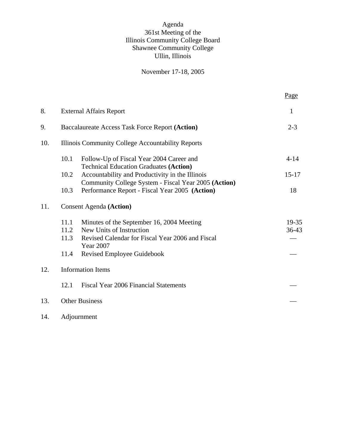## Agenda 361st Meeting of the Illinois Community College Board Shawnee Community College Ullin, Illinois

## November 17-18, 2005

|     |                                                                                                                                                                  | Page           |
|-----|------------------------------------------------------------------------------------------------------------------------------------------------------------------|----------------|
| 8.  | <b>External Affairs Report</b>                                                                                                                                   | 1              |
| 9.  | Baccalaureate Access Task Force Report (Action)                                                                                                                  | $2 - 3$        |
| 10. | Illinois Community College Accountability Reports                                                                                                                |                |
|     | 10.1<br>Follow-Up of Fiscal Year 2004 Career and                                                                                                                 | $4-14$         |
|     | <b>Technical Education Graduates (Action)</b><br>10.2<br>Accountability and Productivity in the Illinois<br>Community College System - Fiscal Year 2005 (Action) | $15 - 17$      |
|     | 10.3<br>Performance Report - Fiscal Year 2005 (Action)                                                                                                           | 18             |
| 11. | <b>Consent Agenda (Action)</b>                                                                                                                                   |                |
|     | 11.1<br>Minutes of the September 16, 2004 Meeting<br>New Units of Instruction<br>11.2<br>Revised Calendar for Fiscal Year 2006 and Fiscal<br>11.3<br>Year 2007   | 19-35<br>36-43 |
|     | 11.4<br>Revised Employee Guidebook                                                                                                                               |                |
| 12. | <b>Information Items</b>                                                                                                                                         |                |
|     | Fiscal Year 2006 Financial Statements<br>12.1                                                                                                                    |                |
| 13. | <b>Other Business</b>                                                                                                                                            |                |
| 14. | Adjournment                                                                                                                                                      |                |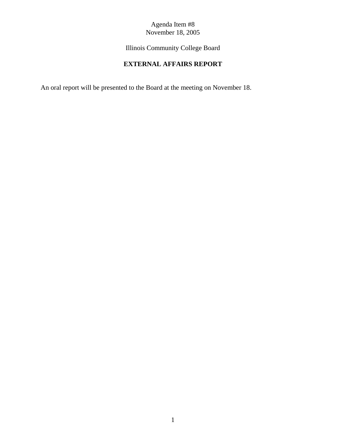Illinois Community College Board

# **EXTERNAL AFFAIRS REPORT**

An oral report will be presented to the Board at the meeting on November 18.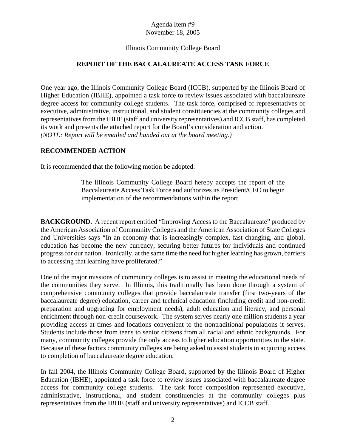#### Illinois Community College Board

#### **REPORT OF THE BACCALAUREATE ACCESS TASK FORCE**

One year ago, the Illinois Community College Board (ICCB), supported by the Illinois Board of Higher Education (IBHE), appointed a task force to review issues associated with baccalaureate degree access for community college students. The task force, comprised of representatives of executive, administrative, instructional, and student constituencies at the community colleges and representatives from the IBHE (staff and university representatives) and ICCB staff, has completed its work and presents the attached report for the Board's consideration and action. *(NOTE: Report will be emailed and handed out at the board meeting.)*

#### **RECOMMENDED ACTION**

It is recommended that the following motion be adopted:

The Illinois Community College Board hereby accepts the report of the Baccalaureate Access Task Force and authorizes its President/CEO to begin implementation of the recommendations within the report.

**BACKGROUND.** A recent report entitled "Improving Access to the Baccalaureate" produced by the American Association of Community Colleges and the American Association of State Colleges and Universities says "In an economy that is increasingly complex, fast changing, and global, education has become the new currency, securing better futures for individuals and continued progress for our nation. Ironically, at the same time the need for higher learning has grown, barriers to accessing that learning have proliferated."

One of the major missions of community colleges is to assist in meeting the educational needs of the communities they serve. In Illinois, this traditionally has been done through a system of comprehensive community colleges that provide baccalaureate transfer (first two-years of the baccalaureate degree) education, career and technical education (including credit and non-credit preparation and upgrading for employment needs), adult education and literacy, and personal enrichment through non-credit coursework. The system serves nearly one million students a year providing access at times and locations convenient to the nontraditional populations it serves. Students include those from teens to senior citizens from all racial and ethnic backgrounds. For many, community colleges provide the only access to higher education opportunities in the state. Because of these factors community colleges are being asked to assist students in acquiring access to completion of baccalaureate degree education.

In fall 2004, the Illinois Community College Board, supported by the Illinois Board of Higher Education (IBHE), appointed a task force to review issues associated with baccalaureate degree access for community college students. The task force composition represented executive, administrative, instructional, and student constituencies at the community colleges plus representatives from the IBHE (staff and university representatives) and ICCB staff.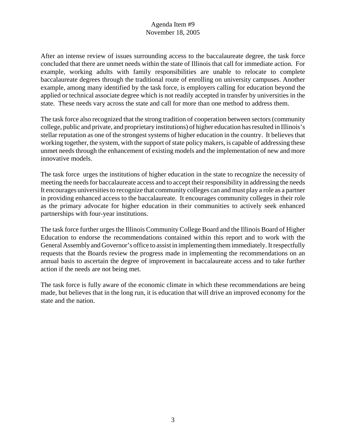After an intense review of issues surrounding access to the baccalaureate degree, the task force concluded that there are unmet needs within the state of Illinois that call for immediate action. For example, working adults with family responsibilities are unable to relocate to complete baccalaureate degrees through the traditional route of enrolling on university campuses. Another example, among many identified by the task force, is employers calling for education beyond the applied or technical associate degree which is not readily accepted in transfer by universities in the state. These needs vary across the state and call for more than one method to address them.

The task force also recognized that the strong tradition of cooperation between sectors (community college, public and private, and proprietary institutions) of higher education has resulted in Illinois's stellar reputation as one of the strongest systems of higher education in the country. It believes that working together, the system, with the support of state policy makers, is capable of addressing these unmet needs through the enhancement of existing models and the implementation of new and more innovative models.

The task force urges the institutions of higher education in the state to recognize the necessity of meeting the needs for baccalaureate access and to accept their responsibility in addressing the needs It encourages universities to recognize that community colleges can and must play a role as a partner in providing enhanced access to the baccalaureate. It encourages community colleges in their role as the primary advocate for higher education in their communities to actively seek enhanced partnerships with four-year institutions.

The task force further urges the Illinois Community College Board and the Illinois Board of Higher Education to endorse the recommendations contained within this report and to work with the General Assembly and Governor's office to assist in implementing them immediately. It respectfully requests that the Boards review the progress made in implementing the recommendations on an annual basis to ascertain the degree of improvement in baccalaureate access and to take further action if the needs are not being met.

The task force is fully aware of the economic climate in which these recommendations are being made, but believes that in the long run, it is education that will drive an improved economy for the state and the nation.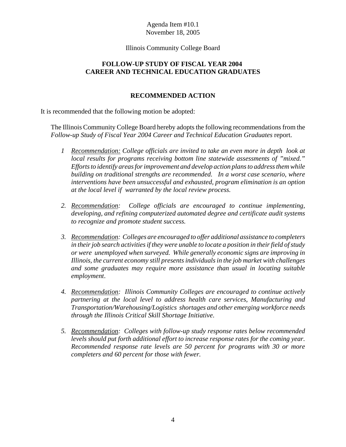#### Illinois Community College Board

## **FOLLOW-UP STUDY OF FISCAL YEAR 2004 CAREER AND TECHNICAL EDUCATION GRADUATES**

#### **RECOMMENDED ACTION**

It is recommended that the following motion be adopted:

The Illinois Community College Board hereby adopts the following recommendations from the *Follow-up Study of Fiscal Year 2004 Career and Technical Education Graduates* report.

- *1 Recommendation: College officials are invited to take an even more in depth look at local results for programs receiving bottom line statewide assessments of "mixed." Efforts to identify areas for improvement and develop action plans to address them while building on traditional strengths are recommended. In a worst case scenario, where interventions have been unsuccessful and exhausted, program elimination is an option at the local level if warranted by the local review process.*
- *2. Recommendation: College officials are encouraged to continue implementing, developing, and refining computerized automated degree and certificate audit systems to recognize and promote student success.*
- *3. Recommendation: Colleges are encouraged to offer additional assistance to completers in their job search activities if they were unable to locate a position in their field of study or were unemployed when surveyed. While generally economic signs are improving in Illinois, the current economy still presents individuals in the job market with challenges and some graduates may require more assistance than usual in locating suitable employment*.
- *4. Recommendation: Illinois Community Colleges are encouraged to continue actively partnering at the local level to address health care services, Manufacturing and Transportation/Warehousing/Logistics shortages and other emerging workforce needs through the Illinois Critical Skill Shortage Initiative*.
- *5. Recommendation: Colleges with follow-up study response rates below recommended levels should put forth additional effort to increase response rates for the coming year. Recommended response rate levels are 50 percent for programs with 30 or more completers and 60 percent for those with fewer.*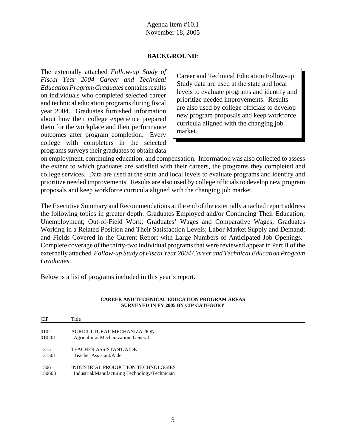#### **BACKGROUND**:

The externally attached *Follow-up Study of Fiscal Year 2004 Career and Technical Education Program Graduates* contains results on individuals who completed selected career and technical education programs during fiscal year 2004. Graduates furnished information about how their college experience prepared them for the workplace and their performance outcomes after program completion. Every college with completers in the selected programs surveys their graduates to obtain data

Career and Technical Education Follow-up Study data are used at the state and local levels to evaluate programs and identify and prioritize needed improvements. Results are also used by college officials to develop new program proposals and keep workforce curricula aligned with the changing job market.

on employment, continuing education, and compensation. Information was also collected to assess the extent to which graduates are satisfied with their careers, the programs they completed and college services. Data are used at the state and local levels to evaluate programs and identify and prioritize needed improvements. Results are also used by college officials to develop new program proposals and keep workforce curricula aligned with the changing job market.

The Executive Summary and Recommendations at the end of the externally attached report address the following topics in greater depth: Graduates Employed and/or Continuing Their Education; Unemployment; Out-of-Field Work; Graduates' Wages and Comparative Wages; Graduates Working in a Related Position and Their Satisfaction Levels; Labor Market Supply and Demand; and Fields Covered in the Current Report with Large Numbers of Anticipated Job Openings. Complete coverage of the thirty-two individual programs that were reviewed appear in Part II of the externally attached *Follow-up Study of Fiscal Year 2004 Career and Technical Education Program Graduates*.

Below is a list of programs included in this year's report.

#### **CAREER AND TECHNICAL EDUCATION PROGRAM AREAS SURVEYED IN FY 2005 BY CIP CATEGORY**

| CIP    | Title                                          |
|--------|------------------------------------------------|
| 0102   | AGRICULTURAL MECHANIZATION                     |
| 010201 | Agricultural Mechanization, General            |
| 1315   | <b>TEACHER ASSISTANT/AIDE</b>                  |
| 131501 | Teacher Assistant/Aide                         |
| 1506   | INDUSTRIAL PRODUCTION TECHNOLOGIES             |
| 150603 | Industrial/Manufacturing Technology/Technician |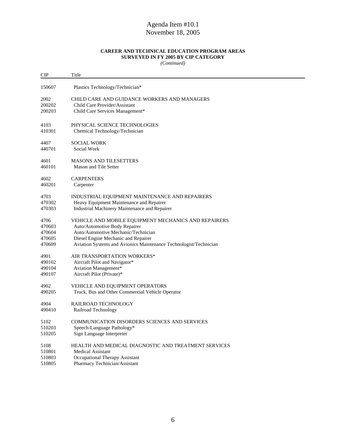#### **CAREER AND TECHNICAL EDUCATION PROGRAM AREAS SURVEYED IN FY 2005 BY CIP CATEGORY**

*(Continued)*

| <b>CIP</b> | Title                                                             |
|------------|-------------------------------------------------------------------|
| 150607     | Plastics Technology/Technician*                                   |
| 2002       | <b>CHILD CARE AND GUIDANCE WORKERS AND MANAGERS</b>               |
| 200202     | Child Care Provider/Assistant                                     |
| 200203     | Child Care Services Management*                                   |
| 4103       | PHYSICAL SCIENCE TECHNOLOGIES                                     |
| 410301     | Chemical Technology/Technician                                    |
| 4407       | SOCIAL WORK                                                       |
| 440701     | Social Work                                                       |
| 4601       | <b>MASONS AND TILESETTERS</b>                                     |
| 460101     | Mason and Tile Setter                                             |
| 4602       | <b>CARPENTERS</b>                                                 |
| 460201     | Carpenter                                                         |
| 4703       | INDUSTRIAL EQUIPMENT MAINTENANCE AND REPAIRERS                    |
| 470302     | Heavy Equipment Maintenance and Repairer                          |
| 470303     | Industrial Machinery Maintenance and Repairer                     |
| 4706       | VEHICLE AND MOBILE EQUIPMENT MECHANICS AND REPAIRERS              |
| 470603     | Auto/Automotive Body Repairer                                     |
| 470604     | Auto/Automotive Mechanic/Technician                               |
| 470605     | Diesel Engine Mechanic and Repairer                               |
| 470609     | Aviation Systems and Avionics Maintenance Technologist/Technician |
| 4901       | AIR TRANSPORTATION WORKERS*                                       |
| 490102     | Aircraft Pilot and Navigator*                                     |
| 490104     | Aviation Management*                                              |
| 490107     | Aircraft Pilot (Private)*                                         |
| 4902       | VEHICLE AND EQUIPMENT OPERATORS                                   |
| 490205     | Truck, Bus and Other Commercial Vehicle Operator                  |
| 4904       | RAILROAD TECHNOLOGY                                               |
| 490410     | Railroad Technology                                               |
| 5102       | COMMUNICATION DISORDERS SCIENCES AND SERVICES                     |
| 510203     | Speech-Language Pathology*                                        |
| 510205     | Sign Language Interpreter                                         |
| 5108       | HEALTH AND MEDICAL DIAGNOSTIC AND TREATMENT SERVICES              |
| 510801     | <b>Medical Assistant</b>                                          |
| 510803     | Occupational Therapy Assistant                                    |
| 510805     | Pharmacy Technician/Assistant                                     |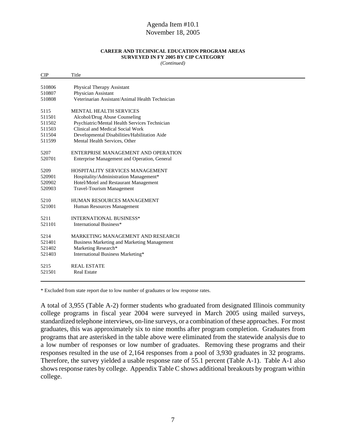#### **CAREER AND TECHNICAL EDUCATION PROGRAM AREAS SURVEYED IN FY 2005 BY CIP CATEGORY**

*(Continued)*

| <b>CIP</b> | Title                                              |
|------------|----------------------------------------------------|
|            |                                                    |
| 510806     | <b>Physical Therapy Assistant</b>                  |
| 510807     | Physician Assistant                                |
| 510808     | Veterinarian Assistant/Animal Health Technician    |
| 5115       | <b>MENTAL HEALTH SERVICES</b>                      |
| 511501     | Alcohol/Drug Abuse Counseling                      |
| 511502     | Psychiatric/Mental Health Services Technician      |
| 511503     | Clinical and Medical Social Work                   |
| 511504     | Developmental Disabilities/Habilitation Aide       |
| 511599     | Mental Health Services, Other                      |
| 5207       | ENTERPRISE MANAGEMENT AND OPERATION                |
| 520701     | Enterprise Management and Operation, General       |
| 5209       | HOSPITALITY SERVICES MANAGEMENT                    |
| 520901     | Hospitality/Administration Management*             |
| 520902     | Hotel/Motel and Restaurant Management              |
| 520903     | <b>Travel-Tourism Management</b>                   |
| 5210       | HUMAN RESOURCES MANAGEMENT                         |
| 521001     | Human Resources Management                         |
| 5211       | <b>INTERNATIONAL BUSINESS*</b>                     |
| 521101     | International Business*                            |
| 5214       | MARKETING MANAGEMENT AND RESEARCH                  |
| 521401     | <b>Business Marketing and Marketing Management</b> |
| 521402     | Marketing Research*                                |
| 521403     | International Business Marketing*                  |
| 5215       | <b>REAL ESTATE</b>                                 |
| 521501     | <b>Real Estate</b>                                 |
|            |                                                    |

\* Excluded from state report due to low number of graduates or low response rates.

A total of 3,955 (Table A-2) former students who graduated from designated Illinois community college programs in fiscal year 2004 were surveyed in March 2005 using mailed surveys, standardized telephone interviews, on-line surveys, or a combination of these approaches. For most graduates, this was approximately six to nine months after program completion. Graduates from programs that are asterisked in the table above were eliminated from the statewide analysis due to a low number of responses or low number of graduates. Removing these programs and their responses resulted in the use of 2,164 responses from a pool of 3,930 graduates in 32 programs. Therefore, the survey yielded a usable response rate of 55.1 percent (Table A-1). Table A-1 also shows response rates by college. Appendix Table C shows additional breakouts by program within college.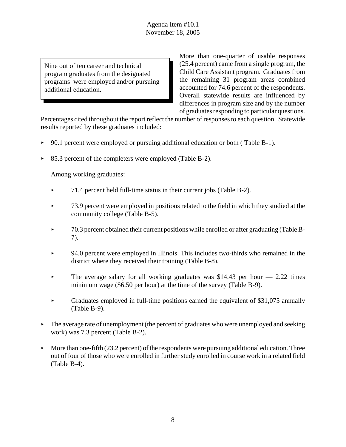Nine out of ten career and technical program graduates from the designated programs were employed and/or pursuing additional education.

More than one-quarter of usable responses (25.4 percent) came from a single program, the Child Care Assistant program. Graduates from the remaining 31 program areas combined accounted for 74.6 percent of the respondents. Overall statewide results are influenced by differences in program size and by the number of graduates responding to particular questions.

Percentages cited throughout the report reflect the number of responses to each question. Statewide results reported by these graduates included:

- $\blacktriangleright$  90.1 percent were employed or pursuing additional education or both (Table B-1).
- < 85.3 percent of the completers were employed (Table B-2).

Among working graduates:

- $\blacktriangleright$  71.4 percent held full-time status in their current jobs (Table B-2).
- ▶ 73.9 percent were employed in positions related to the field in which they studied at the community college (Table B-5).
- $\blacktriangleright$  70.3 percent obtained their current positions while enrolled or after graduating (Table B-7).
- ► 94.0 percent were employed in Illinois. This includes two-thirds who remained in the district where they received their training (Table B-8).
- $\blacktriangleright$  The average salary for all working graduates was \$14.43 per hour  $-2.22$  times minimum wage (\$6.50 per hour) at the time of the survey (Table B-9).
- $\triangleright$  Graduates employed in full-time positions earned the equivalent of \$31,075 annually (Table B-9).
- $\blacktriangleright$  The average rate of unemployment (the percent of graduates who were unemployed and seeking work) was 7.3 percent (Table B-2).
- More than one-fifth (23.2 percent) of the respondents were pursuing additional education. Three out of four of those who were enrolled in further study enrolled in course work in a related field (Table B-4).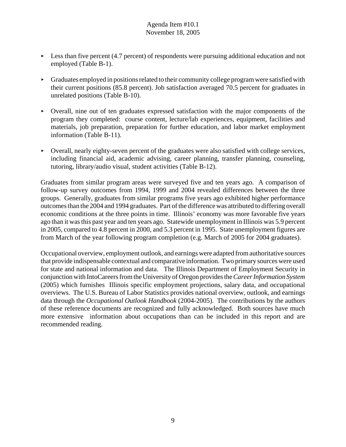- $\blacktriangleright$  Less than five percent (4.7 percent) of respondents were pursuing additional education and not employed (Table B-1).
- $\triangleright$  Graduates employed in positions related to their community college program were satisfied with their current positions (85.8 percent). Job satisfaction averaged 70.5 percent for graduates in unrelated positions (Table B-10).
- < Overall, nine out of ten graduates expressed satisfaction with the major components of the program they completed: course content, lecture/lab experiences, equipment, facilities and materials, job preparation, preparation for further education, and labor market employment information (Table B-11).
- $\triangleright$  Overall, nearly eighty-seven percent of the graduates were also satisfied with college services, including financial aid, academic advising, career planning, transfer planning, counseling, tutoring, library/audio visual, student activities (Table B-12).

Graduates from similar program areas were surveyed five and ten years ago. A comparison of follow-up survey outcomes from 1994, 1999 and 2004 revealed differences between the three groups. Generally, graduates from similar programs five years ago exhibited higher performance outcomes than the 2004 and 1994 graduates. Part of the difference was attributed to differing overall economic conditions at the three points in time. Illinois' economy was more favorable five years ago than it was this past year and ten years ago. Statewide unemployment in Illinois was 5.9 percent in 2005, compared to 4.8 percent in 2000, and 5.3 percent in 1995. State unemployment figures are from March of the year following program completion (e.g. March of 2005 for 2004 graduates).

Occupational overview, employment outlook, and earnings were adapted from authoritative sources that provide indispensable contextual and comparative information. Two primary sources were used for state and national information and data. The Illinois Department of Employment Security in conjunction with IntoCareers from the University of Oregon provides the *Career Information System* (2005) which furnishes Illinois specific employment projections, salary data, and occupational overviews. The U.S. Bureau of Labor Statistics provides national overview, outlook, and earnings data through the *Occupational Outlook Handbook* (2004-2005). The contributions by the authors of these reference documents are recognized and fully acknowledged. Both sources have much more extensive information about occupations than can be included in this report and are recommended reading.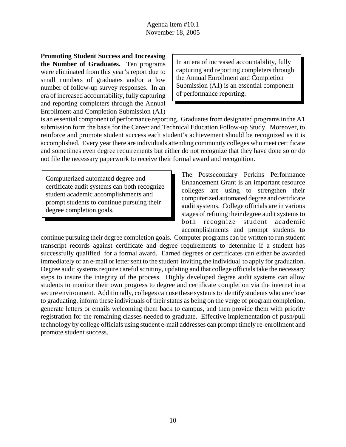**Promoting Student Success and Increasing**

**the Number of Graduates.** Ten programs were eliminated from this year's report due to small numbers of graduates and/or a low number of follow-up survey responses. In an era of increased accountability, fully capturing and reporting completers through the Annual Enrollment and Completion Submission (A1) In an era of increased accountability, fully capturing and reporting completers through the Annual Enrollment and Completion Submission (A1) is an essential component of performance reporting.

is an essential component of performance reporting. Graduates from designated programs in the A1 submission form the basis for the Career and Technical Education Follow-up Study. Moreover, to reinforce and promote student success each student's achievement should be recognized as it is accomplished. Every year there are individuals attending community colleges who meet certificate and sometimes even degree requirements but either do not recognize that they have done so or do not file the necessary paperwork to receive their formal award and recognition.

Computerized automated degree and certificate audit systems can both recognize student academic accomplishments and prompt students to continue pursuing their degree completion goals.

The Postsecondary Perkins Performance Enhancement Grant is an important resource colleges are using to strengthen their computerized automated degree and certificate audit systems. College officials are in various stages of refining their degree audit systems to both recognize student academic accomplishments and prompt students to

continue pursuing their degree completion goals. Computer programs can be written to run student transcript records against certificate and degree requirements to determine if a student has successfully qualified for a formal award. Earned degrees or certificates can either be awarded immediately or an e-mail or letter sent to the student inviting the individual to apply for graduation. Degree audit systems require careful scrutiny, updating and that college officials take the necessary steps to insure the integrity of the process. Highly developed degree audit systems can allow students to monitor their own progress to degree and certificate completion via the internet in a secure environment. Additionally, colleges can use these systems to identify students who are close to graduating, inform these individuals of their status as being on the verge of program completion, generate letters or emails welcoming them back to campus, and then provide them with priority registration for the remaining classes needed to graduate. Effective implementation of push/pull technology by college officials using student e-mail addresses can prompt timely re-enrollment and promote student success.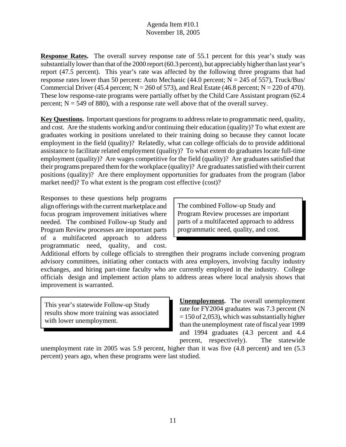**Response Rates.** The overall survey response rate of 55.1 percent for this year's study was substantially lower than that of the 2000 report (60.3 percent), but appreciably higher than last year's report (47.5 percent). This year's rate was affected by the following three programs that had response rates lower than 50 percent: Auto Mechanic (44.0 percent;  $N = 245$  of 557), Truck/Bus/ Commercial Driver (45.4 percent;  $N = 260$  of 573), and Real Estate (46.8 percent;  $N = 220$  of 470). These low response-rate programs were partially offset by the Child Care Assistant program (62.4 percent;  $N = 549$  of 880), with a response rate well above that of the overall survey.

**Key Questions.** Important questions for programs to address relate to programmatic need, quality, and cost. Are the students working and/or continuing their education (quality)? To what extent are graduates working in positions unrelated to their training doing so because they cannot locate employment in the field (quality)? Relatedly, what can college officials do to provide additional assistance to facilitate related employment (quality)? To what extent do graduates locate full-time employment (quality)? Are wages competitive for the field (quality)? Are graduates satisfied that their programs prepared them for the workplace (quality)? Are graduates satisfied with their current positions (quality)? Are there employment opportunities for graduates from the program (labor market need)? To what extent is the program cost effective (cost)?

Responses to these questions help programs align offerings with the current marketplace and focus program improvement initiatives where needed. The combined Follow-up Study and Program Review processes are important parts of a multifaceted approach to address programmatic need, quality, and cost.

The combined Follow-up Study and Program Review processes are important parts of a multifaceted approach to address programmatic need, quality, and cost.

Additional efforts by college officials to strengthen their programs include convening program advisory committees, initiating other contacts with area employers, involving faculty industry exchanges, and hiring part-time faculty who are currently employed in the industry. College officials design and implement action plans to address areas where local analysis shows that improvement is warranted.

This year's statewide Follow-up Study results show more training was associated with lower unemployment.

**Unemployment.** The overall unemployment rate for FY2004 graduates was 7.3 percent (N  $= 150$  of 2,053), which was substantially higher than the unemployment rate of fiscal year 1999 and 1994 graduates (4.3 percent and 4.4 percent, respectively). The statewide

unemployment rate in 2005 was 5.9 percent, higher than it was five (4.8 percent) and ten (5.3 percent) years ago, when these programs were last studied.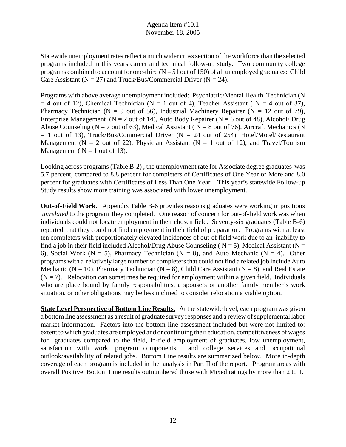Statewide unemployment rates reflect a much wider cross section of the workforce than the selected programs included in this years career and technical follow-up study. Two community college programs combined to account for one-third  $(N = 51$  out of 150) of all unemployed graduates: Child Care Assistant ( $N = 27$ ) and Truck/Bus/Commercial Driver ( $N = 24$ ).

Programs with above average unemployment included: Psychiatric/Mental Health Technician (N  $= 4$  out of 12), Chemical Technician (N = 1 out of 4), Teacher Assistant (N = 4 out of 37), Pharmacy Technician (N = 9 out of 56), Industrial Machinery Repairer (N = 12 out of 79), Enterprise Management ( $N = 2$  out of 14), Auto Body Repairer ( $N = 6$  out of 48), Alcohol/ Drug Abuse Counseling ( $N = 7$  out of 63), Medical Assistant ( $N = 8$  out of 76), Aircraft Mechanics (N  $= 1$  out of 13), Truck/Bus/Commercial Driver (N  $= 24$  out of 254), Hotel/Motel/Restaurant Management ( $N = 2$  out of 22), Physician Assistant ( $N = 1$  out of 12), and Travel/Tourism Management ( $N = 1$  out of 13).

Looking across programs (Table B-2) , the unemployment rate for Associate degree graduates was 5.7 percent, compared to 8.8 percent for completers of Certificates of One Year or More and 8.0 percent for graduates with Certificates of Less Than One Year. This year's statewide Follow-up Study results show more training was associated with lower unemployment.

**Out-of-Field Work.** Appendix Table B-6 provides reasons graduates were working in positions *unrelated* to the program they completed. One reason of concern for out-of-field work was when individuals could not locate employment in their chosen field. Seventy-six graduates (Table B-6) reported that they could not find employment in their field of preparation. Programs with at least ten completers with proportionately elevated incidences of out-of field work due to an inability to find a job in their field included Alcohol/Drug Abuse Counseling ( $N = 5$ ), Medical Assistant ( $N =$ 6), Social Work ( $N = 5$ ), Pharmacy Technician ( $N = 8$ ), and Auto Mechanic ( $N = 4$ ). Other programs with a relatively large number of completers that could not find a related job include Auto Mechanic ( $N = 10$ ), Pharmacy Technician ( $N = 8$ ), Child Care Assistant ( $N = 8$ ), and Real Estate  $(N = 7)$ . Relocation can sometimes be required for employment within a given field. Individuals who are place bound by family responsibilities, a spouse's or another family member's work situation, or other obligations may be less inclined to consider relocation a viable option.

**State Level Perspective of Bottom Line Results.** At the statewide level, each program was given a bottom line assessment as a result of graduate survey responses and a review of supplemental labor market information. Factors into the bottom line assessment included but were not limited to: extent to which graduates are employed and or continuing their education, competitiveness of wages for graduates compared to the field, in-field employment of graduates, low unemployment, satisfaction with work, program components, and college services and occupational outlook/availability of related jobs. Bottom Line results are summarized below. More in-depth coverage of each program is included in the analysis in Part II of the report. Program areas with overall Positive Bottom Line results outnumbered those with Mixed ratings by more than 2 to 1.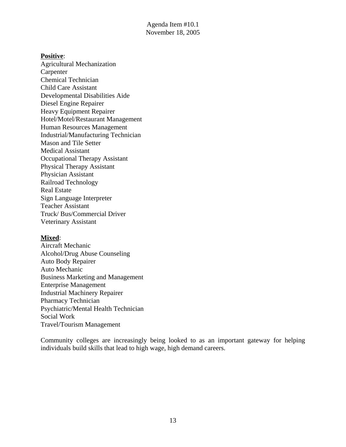#### **Positive**:

Agricultural Mechanization Carpenter Chemical Technician Child Care Assistant Developmental Disabilities Aide Diesel Engine Repairer Heavy Equipment Repairer Hotel/Motel/Restaurant Management Human Resources Management Industrial/Manufacturing Technician Mason and Tile Setter Medical Assistant Occupational Therapy Assistant Physical Therapy Assistant Physician Assistant Railroad Technology Real Estate Sign Language Interpreter Teacher Assistant Truck/ Bus/Commercial Driver Veterinary Assistant

#### **Mixed**:

Aircraft Mechanic Alcohol/Drug Abuse Counseling Auto Body Repairer Auto Mechanic Business Marketing and Management Enterprise Management Industrial Machinery Repairer Pharmacy Technician Psychiatric/Mental Health Technician Social Work Travel/Tourism Management

Community colleges are increasingly being looked to as an important gateway for helping individuals build skills that lead to high wage, high demand careers.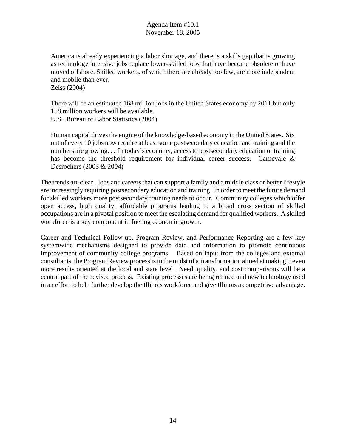America is already experiencing a labor shortage, and there is a skills gap that is growing as technology intensive jobs replace lower-skilled jobs that have become obsolete or have moved offshore. Skilled workers, of which there are already too few, are more independent and mobile than ever. Zeiss (2004)

There will be an estimated 168 million jobs in the United States economy by 2011 but only 158 million workers will be available.

U.S. Bureau of Labor Statistics (2004)

Human capital drives the engine of the knowledge-based economy in the United States. Six out of every 10 jobs now require at least some postsecondary education and training and the numbers are growing... In today's economy, access to postsecondary education or training has become the threshold requirement for individual career success. Carnevale & Desrochers (2003 & 2004)

The trends are clear. Jobs and careers that can support a family and a middle class or better lifestyle are increasingly requiring postsecondary education and training. In order to meet the future demand for skilled workers more postsecondary training needs to occur. Community colleges which offer open access, high quality, affordable programs leading to a broad cross section of skilled occupations are in a pivotal position to meet the escalating demand for qualified workers. A skilled workforce is a key component in fueling economic growth.

Career and Technical Follow-up, Program Review, and Performance Reporting are a few key systemwide mechanisms designed to provide data and information to promote continuous improvement of community college programs. Based on input from the colleges and external consultants, the Program Review process is in the midst of a transformation aimed at making it even more results oriented at the local and state level. Need, quality, and cost comparisons will be a central part of the revised process. Existing processes are being refined and new technology used in an effort to help further develop the Illinois workforce and give Illinois a competitive advantage.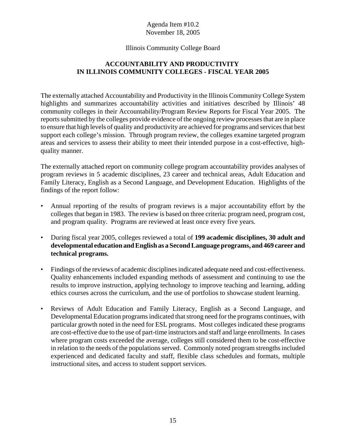#### Illinois Community College Board

## **ACCOUNTABILITY AND PRODUCTIVITY IN ILLINOIS COMMUNITY COLLEGES - FISCAL YEAR 2005**

The externally attached Accountability and Productivity in the Illinois Community College System highlights and summarizes accountability activities and initiatives described by Illinois' 48 community colleges in their Accountability/Program Review Reports for Fiscal Year 2005. The reports submitted by the colleges provide evidence of the ongoing review processes that are in place to ensure that high levels of quality and productivity are achieved for programs and services that best support each college's mission. Through program review, the colleges examine targeted program areas and services to assess their ability to meet their intended purpose in a cost-effective, highquality manner.

The externally attached report on community college program accountability provides analyses of program reviews in 5 academic disciplines, 23 career and technical areas, Adult Education and Family Literacy, English as a Second Language, and Development Education. Highlights of the findings of the report follow:

- Annual reporting of the results of program reviews is a major accountability effort by the colleges that began in 1983. The review is based on three criteria: program need, program cost, and program quality. Programs are reviewed at least once every five years.
- During fiscal year 2005, colleges reviewed a total of **199 academic disciplines, 30 adult and developmental education and English as a Second Language programs, and 469 career and technical programs.**
- Findings of the reviews of academic disciplines indicated adequate need and cost-effectiveness. Quality enhancements included expanding methods of assessment and continuing to use the results to improve instruction, applying technology to improve teaching and learning, adding ethics courses across the curriculum, and the use of portfolios to showcase student learning.
- Reviews of Adult Education and Family Literacy, English as a Second Language, and Developmental Education programs indicated that strong need for the programs continues, with particular growth noted in the need for ESL programs. Most colleges indicated these programs are cost-effective due to the use of part-time instructors and staff and large enrollments. In cases where program costs exceeded the average, colleges still considered them to be cost-effective in relation to the needs of the populations served. Commonly noted program strengths included experienced and dedicated faculty and staff, flexible class schedules and formats, multiple instructional sites, and access to student support services.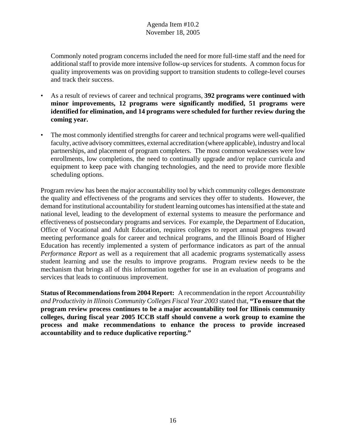Commonly noted program concerns included the need for more full-time staff and the need for additional staff to provide more intensive follow-up services for students. A common focus for quality improvements was on providing support to transition students to college-level courses and track their success.

- As a result of reviews of career and technical programs, **392 programs were continued with minor improvements, 12 programs were significantly modified, 51 programs were identified for elimination, and 14 programs were scheduled for further review during the coming year.**
- The most commonly identified strengths for career and technical programs were well-qualified faculty, active advisory committees, external accreditation (where applicable), industry and local partnerships, and placement of program completers. The most common weaknesses were low enrollments, low completions, the need to continually upgrade and/or replace curricula and equipment to keep pace with changing technologies, and the need to provide more flexible scheduling options.

Program review has been the major accountability tool by which community colleges demonstrate the quality and effectiveness of the programs and services they offer to students. However, the demand for institutional accountability for student learning outcomes has intensified at the state and national level, leading to the development of external systems to measure the performance and effectiveness of postsecondary programs and services. For example, the Department of Education, Office of Vocational and Adult Education, requires colleges to report annual progress toward meeting performance goals for career and technical programs, and the Illinois Board of Higher Education has recently implemented a system of performance indicators as part of the annual *Performance Report* as well as a requirement that all academic programs systematically assess student learning and use the results to improve programs. Program review needs to be the mechanism that brings all of this information together for use in an evaluation of programs and services that leads to continuous improvement.

**Status of Recommendations from 2004 Report:** A recommendation in the report *Accountability and Productivity in Illinois Community Colleges Fiscal Year 2003* stated that, **"To ensure that the program review process continues to be a major accountability tool for Illinois community colleges, during fiscal year 2005 ICCB staff should convene a work group to examine the process and make recommendations to enhance the process to provide increased accountability and to reduce duplicative reporting."**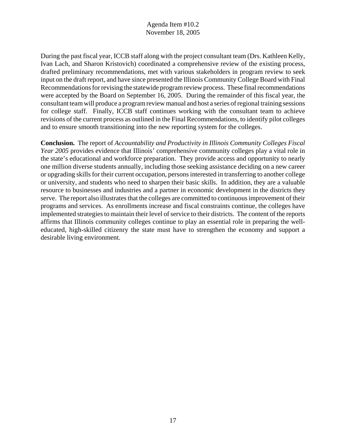During the past fiscal year, ICCB staff along with the project consultant team (Drs. Kathleen Kelly, Ivan Lach, and Sharon Kristovich) coordinated a comprehensive review of the existing process, drafted preliminary recommendations, met with various stakeholders in program review to seek input on the draft report, and have since presented the Illinois Community College Board with Final Recommendations for revising the statewide program review process. These final recommendations were accepted by the Board on September 16, 2005. During the remainder of this fiscal year, the consultant team will produce a program review manual and host a series of regional training sessions for college staff. Finally, ICCB staff continues working with the consultant team to achieve revisions of the current process as outlined in the Final Recommendations, to identify pilot colleges and to ensure smooth transitioning into the new reporting system for the colleges.

**Conclusion.** The report of *Accountability and Productivity in Illinois Community Colleges Fiscal Year 2005* provides evidence that Illinois' comprehensive community colleges play a vital role in the state's educational and workforce preparation. They provide access and opportunity to nearly one million diverse students annually, including those seeking assistance deciding on a new career or upgrading skills for their current occupation, persons interested in transferring to another college or university, and students who need to sharpen their basic skills. In addition, they are a valuable resource to businesses and industries and a partner in economic development in the districts they serve. The report also illustrates that the colleges are committed to continuous improvement of their programs and services. As enrollments increase and fiscal constraints continue, the colleges have implemented strategies to maintain their level of service to their districts. The content of the reports affirms that Illinois community colleges continue to play an essential role in preparing the welleducated, high-skilled citizenry the state must have to strengthen the economy and support a desirable living environment.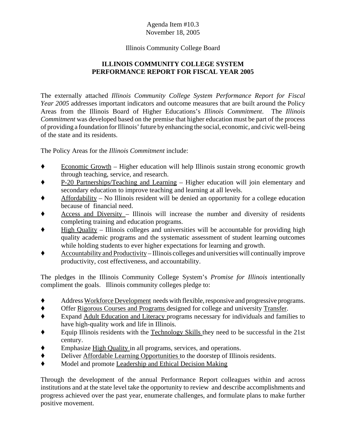#### Illinois Community College Board

## **ILLINOIS COMMUNITY COLLEGE SYSTEM PERFORMANCE REPORT FOR FISCAL YEAR 2005**

The externally attached *Illinois Community College System Performance Report for Fiscal Year 2005* addresses important indicators and outcome measures that are built around the Policy Areas from the Illinois Board of Higher Educations's *Illinois Commitment*. The *Illinois Commitment* was developed based on the premise that higher education must be part of the process of providing a foundation for Illinois' future by enhancing the social, economic, and civic well-being of the state and its residents.

The Policy Areas for the *Illinois Commitment* include:

- $\bullet$  Economic Growth Higher education will help Illinois sustain strong economic growth through teaching, service, and research.
- ' P-20 Partnerships/Teaching and Learning Higher education will join elementary and secondary education to improve teaching and learning at all levels.
- $A$ ffordability No Illinois resident will be denied an opportunity for a college education because of financial need.
- $\triangle$  Access and Diversity Illinois will increase the number and diversity of residents completing training and education programs.
- High Quality Illinois colleges and universities will be accountable for providing high quality academic programs and the systematic assessment of student learning outcomes while holding students to ever higher expectations for learning and growth.
- ' Accountability and Productivity Illinois colleges and universities will continually improve productivity, cost effectiveness, and accountability.

The pledges in the Illinois Community College System's *Promise for Illinois* intentionally compliment the goals. Illinois community colleges pledge to:

- ' Address Workforce Development needs with flexible, responsive and progressive programs.
- ' Offer Rigorous Courses and Programs designed for college and university Transfer.
- ' Expand Adult Education and Literacy programs necessary for individuals and families to have high-quality work and life in Illinois.
- Equip Illinois residents with the Technology Skills they need to be successful in the 21st century.
- Emphasize High Quality in all programs, services, and operations.
- ' Deliver Affordable Learning Opportunities to the doorstep of Illinois residents.
- ' Model and promote Leadership and Ethical Decision Making

Through the development of the annual Performance Report colleagues within and across institutions and at the state level take the opportunity to review and describe accomplishments and progress achieved over the past year, enumerate challenges, and formulate plans to make further positive movement.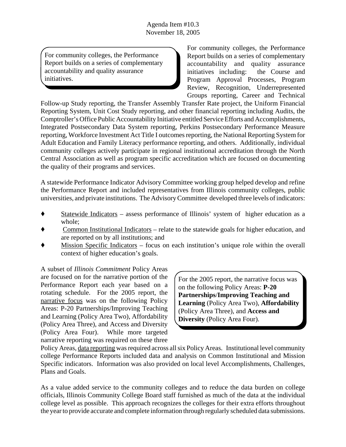For community colleges, the Performance Report builds on a series of complementary accountability and quality assurance initiatives.

For community colleges, the Performance Report builds on a series of complementary accountability and quality assurance initiatives including: the Course and Program Approval Processes, Program Review, Recognition, Underrepresented Groups reporting, Career and Technical

Follow-up Study reporting, the Transfer Assembly Transfer Rate project, the Uniform Financial Reporting System, Unit Cost Study reporting, and other financial reporting including Audits, the Comptroller's Office Public Accountability Initiative entitled Service Efforts and Accomplishments, Integrated Postsecondary Data System reporting, Perkins Postsecondary Performance Measure reporting, Workforce Investment Act Title I outcomes reporting, the National Reporting System for Adult Education and Family Literacy performance reporting, and others. Additionally, individual community colleges actively participate in regional institutional accreditation through the North Central Association as well as program specific accreditation which are focused on documenting the quality of their programs and services.

A statewide Performance Indicator Advisory Committee working group helped develop and refine the Performance Report and included representatives from Illinois community colleges, public universities, and private institutions. The Advisory Committee developed three levels of indicators:

- ' Statewide Indicators assess performance of Illinois' system of higher education as a whole;
- ' Common Institutional Indicators relate to the statewide goals for higher education, and are reported on by all institutions; and
- Mission Specific Indicators focus on each institution's unique role within the overall context of higher education's goals.

A subset of *Illinois Commitment* Policy Areas are focused on for the narrative portion of the Performance Report each year based on a rotating schedule. For the 2005 report, the narrative focus was on the following Policy Areas: P-20 Partnerships/Improving Teaching and Learning (Policy Area Two), Affordability (Policy Area Three), and Access and Diversity (Policy Area Four). While more targeted narrative reporting was required on these three

For the 2005 report, the narrative focus was on the following Policy Areas: **P-20 Partnerships**/**Improving Teaching and Learning** (Policy Area Two), **Affordability** (Policy Area Three), and **Access and Diversity** (Policy Area Four).

Policy Areas, data reporting was required across all six Policy Areas. Institutional level community college Performance Reports included data and analysis on Common Institutional and Mission Specific indicators. Information was also provided on local level Accomplishments, Challenges, Plans and Goals.

As a value added service to the community colleges and to reduce the data burden on college officials, Illinois Community College Board staff furnished as much of the data at the individual college level as possible. This approach recognizes the colleges for their extra efforts throughout the year to provide accurate and complete information through regularly scheduled data submissions.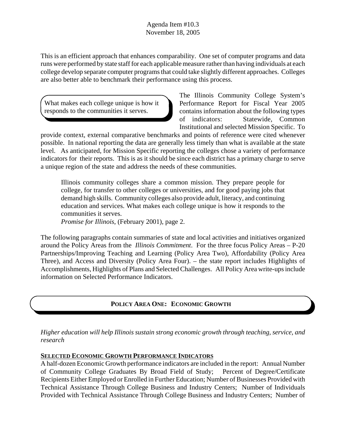This is an efficient approach that enhances comparability. One set of computer programs and data runs were performed by state staff for each applicable measure rather than having individuals at each college develop separate computer programs that could take slightly different approaches. Colleges are also better able to benchmark their performance using this process.

What makes each college unique is how it responds to the communities it serves.

The Illinois Community College System's Performance Report for Fiscal Year 2005 contains information about the following types of indicators: Statewide, Common Institutional and selected Mission Specific. To

provide context, external comparative benchmarks and points of reference were cited whenever possible. In national reporting the data are generally less timely than what is available at the state level. As anticipated, for Mission Specific reporting the colleges chose a variety of performance indicators for their reports. This is as it should be since each district has a primary charge to serve a unique region of the state and address the needs of these communities.

Illinois community colleges share a common mission. They prepare people for college, for transfer to other colleges or universities, and for good paying jobs that demand high skills. Community colleges also provide adult, literacy, and continuing education and services. What makes each college unique is how it responds to the communities it serves.

*Promise for Illinois*, (February 2001), page 2.

The following paragraphs contain summaries of state and local activities and initiatives organized around the Policy Areas from the *Illinois Commitment*. For the three focus Policy Areas – P-20 Partnerships/Improving Teaching and Learning (Policy Area Two), Affordability (Policy Area Three), and Access and Diversity (Policy Area Four). – the state report includes Highlights of Accomplishments, Highlights of Plans and Selected Challenges. All Policy Area write-ups include information on Selected Performance Indicators.

## **POLICY AREA ONE: ECONOMIC GROWTH**

*Higher education will help Illinois sustain strong economic growth through teaching, service, and research*

## **SELECTED ECONOMIC GROWTH PERFORMANCE INDICATORS**

A half-dozen Economic Growth performance indicators are included in the report: Annual Number of Community College Graduates By Broad Field of Study; Percent of Degree/Certificate Recipients Either Employed or Enrolled in Further Education; Number of Businesses Provided with Technical Assistance Through College Business and Industry Centers; Number of Individuals Provided with Technical Assistance Through College Business and Industry Centers; Number of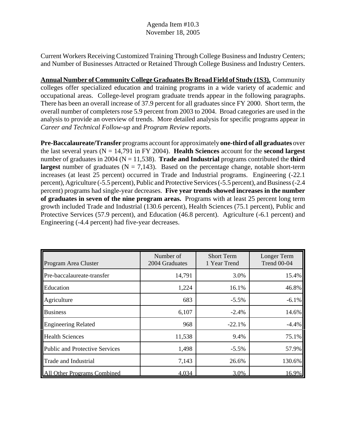Current Workers Receiving Customized Training Through College Business and Industry Centers; and Number of Businesses Attracted or Retained Through College Business and Industry Centers.

**Annual Number of Community College Graduates By Broad Field of Study (1S3).** Community colleges offer specialized education and training programs in a wide variety of academic and occupational areas. College-level program graduate trends appear in the following paragraphs. There has been an overall increase of 37.9 percent for all graduates since FY 2000. Short term, the overall number of completers rose 5.9 percent from 2003 to 2004. Broad categories are used in the analysis to provide an overview of trends. More detailed analysis for specific programs appear in *Career and Technical Follow-up* and *Program Review* reports.

**Pre-Baccalaureate/Transfer** programs account for approximately **one-third of all graduates** over the last several years (N = 14,791 in FY 2004). **Health Sciences** account for the **second largest** number of graduates in 2004 ( $N = 11,538$ ). **Trade and Industrial** programs contributed the **third largest** number of graduates  $(N = 7,143)$ . Based on the percentage change, notable short-term increases (at least 25 percent) occurred in Trade and Industrial programs. Engineering (-22.1 percent), Agriculture (-5.5 percent), Public and Protective Services (-5.5 percent), and Business (-2.4 percent) programs had single-year decreases. **Five year trends showed increases in the number of graduates in seven of the nine program areas.** Programs with at least 25 percent long term growth included Trade and Industrial (130.6 percent), Health Sciences (75.1 percent), Public and Protective Services (57.9 percent), and Education (46.8 percent). Agriculture (-6.1 percent) and Engineering (-4.4 percent) had five-year decreases.

| Program Area Cluster                  | Number of<br>2004 Graduates | <b>Short Term</b><br>1 Year Trend | Longer Term<br><b>Trend 00-04</b> |
|---------------------------------------|-----------------------------|-----------------------------------|-----------------------------------|
| Pre-baccalaureate-transfer            | 14,791                      | 3.0%                              | 15.4%                             |
| Education                             | 1,224                       | 16.1%                             | 46.8%                             |
| Agriculture                           | 683                         | $-5.5%$                           | $-6.1%$                           |
| <b>Business</b>                       | 6,107                       | $-2.4%$                           | 14.6%                             |
| <b>Engineering Related</b>            | 968                         | $-22.1%$                          | $-4.4%$                           |
| <b>Health Sciences</b>                | 11,538                      | 9.4%                              | 75.1%                             |
| <b>Public and Protective Services</b> | 1,498                       | $-5.5\%$                          | 57.9%                             |
| Trade and Industrial                  | 7,143                       | 26.6%                             | 130.6%                            |
| All Other Programs Combined           | 4,034                       | 3.0%                              | 16.9%                             |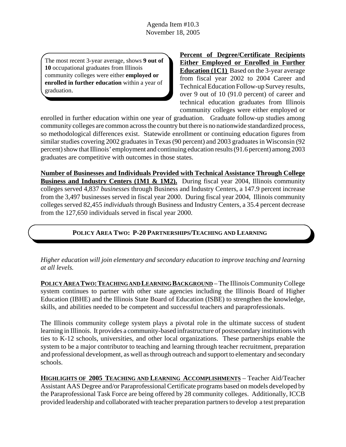The most recent 3-year average, shows **9 out of 10** occupational graduates from Illinois community colleges were either **employed or enrolled in further education** within a year of graduation.

**Percent of Degree/Certificate Recipients Either Employed or Enrolled in Further Education (1C1)** Based on the 3-year average from fiscal year 2002 to 2004 Career and Technical Education Follow-up Survey results, over 9 out of 10 (91.0 percent) of career and technical education graduates from Illinois community colleges were either employed or

enrolled in further education within one year of graduation. Graduate follow-up studies among community colleges are common across the country but there is no nationwide standardized process, so methodological differences exist. Statewide enrollment or continuing education figures from similar studies covering 2002 graduates in Texas (90 percent) and 2003 graduates in Wisconsin (92 percent) show that Illinois' employment and continuing education results (91.6 percent) among 2003 graduates are competitive with outcomes in those states.

**Number of Businesses and Individuals Provided with Technical Assistance Through College Business and Industry Centers (1M1 & 1M2).** During fiscal year 2004, Illinois community colleges served 4,837 *businesses* through Business and Industry Centers, a 147.9 percent increase from the 3,497 businesses served in fiscal year 2000. During fiscal year 2004, Illinois community colleges served 82,455 *individuals* through Business and Industry Centers, a 35.4 percent decrease from the 127,650 individuals served in fiscal year 2000.

## **POLICY AREA TWO: P-20 PARTNERSHIPS/TEACHING AND LEARNING**

*Higher education will join elementary and secondary education to improve teaching and learning at all levels.*

POLICY AREA TWO: TEACHING AND LEARNING BACKGROUND – The Illinois Community College system continues to partner with other state agencies including the Illinois Board of Higher Education (IBHE) and the Illinois State Board of Education (ISBE) to strengthen the knowledge, skills, and abilities needed to be competent and successful teachers and paraprofessionals.

The Illinois community college system plays a pivotal role in the ultimate success of student learning in Illinois. It provides a community-based infrastructure of postsecondary institutions with ties to K-12 schools, universities, and other local organizations. These partnerships enable the system to be a major contributor to teaching and learning through teacher recruitment, preparation and professional development, as well as through outreach and support to elementary and secondary schools.

**HIGHLIGHTS OF 2005 TEACHING AND LEARNING ACCOMPLISHMENTS** – Teacher Aid/Teacher Assistant AAS Degree and/or Paraprofessional Certificate programs based on models developed by the Paraprofessional Task Force are being offered by 28 community colleges. Additionally, ICCB provided leadership and collaborated with teacher preparation partners to develop a test preparation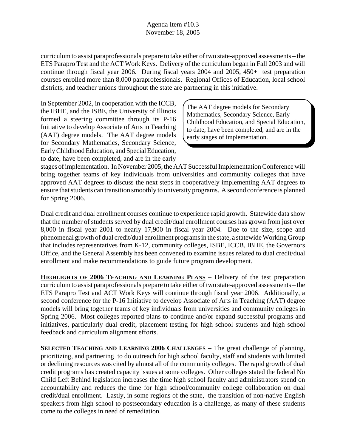curriculum to assist paraprofessionals prepare to take either of two state-approved assessments – the ETS Parapro Test and the ACT Work Keys. Delivery of the curriculum began in Fall 2003 and will continue through fiscal year 2006. During fiscal years 2004 and 2005, 450+ test preparation courses enrolled more than 8,000 paraprofessionals. Regional Offices of Education, local school districts, and teacher unions throughout the state are partnering in this initiative.

In September 2002, in cooperation with the ICCB, the IBHE, and the ISBE, the University of Illinois formed a steering committee through its P-16 Initiative to develop Associate of Arts in Teaching (AAT) degree models. The AAT degree models for Secondary Mathematics, Secondary Science, Early Childhood Education, and Special Education, to date, have been completed, and are in the early

The AAT degree models for Secondary Mathematics, Secondary Science, Early Childhood Education, and Special Education, to date, have been completed, and are in the early stages of implementation.

stages of implementation. In November 2005, the AAT Successful Implementation Conference will bring together teams of key individuals from universities and community colleges that have approved AAT degrees to discuss the next steps in cooperatively implementing AAT degrees to ensure that students can transition smoothly to university programs. A second conference is planned for Spring 2006.

Dual credit and dual enrollment courses continue to experience rapid growth. Statewide data show that the number of students served by dual credit/dual enrollment courses has grown from just over 8,000 in fiscal year 2001 to nearly 17,900 in fiscal year 2004. Due to the size, scope and phenomenal growth of dual credit/dual enrollment programs in the state, a statewide Working Group that includes representatives from K-12, community colleges, ISBE, ICCB, IBHE, the Governors Office, and the General Assembly has been convened to examine issues related to dual credit/dual enrollment and make recommendations to guide future program development.

**HIGHLIGHTS OF 2006 TEACHING AND LEARNING PLANS** – Delivery of the test preparation curriculum to assist paraprofessionals prepare to take either of two state-approved assessments – the ETS Parapro Test and ACT Work Keys will continue through fiscal year 2006. Additionally, a second conference for the P-16 Initiative to develop Associate of Arts in Teaching (AAT) degree models will bring together teams of key individuals from universities and community colleges in Spring 2006. Most colleges reported plans to continue and/or expand successful programs and initiatives, particularly dual credit, placement testing for high school students and high school feedback and curriculum alignment efforts.

**SELECTED TEACHING AND LEARNING 2006 CHALLENGES** – The great challenge of planning, prioritizing, and partnering to do outreach for high school faculty, staff and students with limited or declining resources was cited by almost all of the community colleges. The rapid growth of dual credit programs has created capacity issues at some colleges. Other colleges stated the federal No Child Left Behind legislation increases the time high school faculty and administrators spend on accountability and reduces the time for high school/community college collaboration on dual credit/dual enrollment. Lastly, in some regions of the state, the transition of non-native English speakers from high school to postsecondary education is a challenge, as many of these students come to the colleges in need of remediation.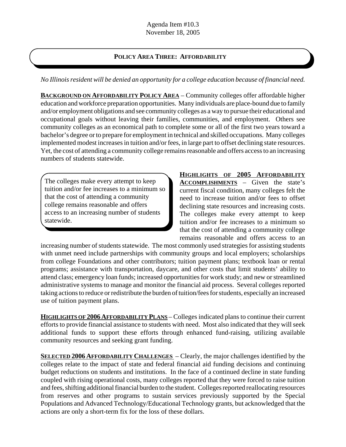## **POLICY AREA THREE: AFFORDABILITY**

*No Illinois resident will be denied an opportunity for a college education because of financial need.*

**BACKGROUND ON AFFORDABILITY POLICY AREA** – Community colleges offer affordable higher education and workforce preparation opportunities. Many individuals are place-bound due to family and/or employment obligations and see community colleges as a way to pursue their educational and occupational goals without leaving their families, communities, and employment. Others see community colleges as an economical path to complete some or all of the first two years toward a bachelor's degree or to prepare for employment in technical and skilled occupations. Many colleges implemented modest increases in tuition and/or fees, in large part to offset declining state resources. Yet, the cost of attending a community college remains reasonable and offers access to an increasing numbers of students statewide.

The colleges make every attempt to keep tuition and/or fee increases to a minimum so that the cost of attending a community college remains reasonable and offers access to an increasing number of students statewide.

**HIGHLIGHTS OF 2005 AFFORDABILITY ACCOMPLISHMENTS** – Given the state's current fiscal condition, many colleges felt the need to increase tuition and/or fees to offset declining state resources and increasing costs. The colleges make every attempt to keep tuition and/or fee increases to a minimum so that the cost of attending a community college remains reasonable and offers access to an

increasing number of students statewide. The most commonly used strategies for assisting students with unmet need include partnerships with community groups and local employers; scholarships from college Foundations and other contributors; tuition payment plans; textbook loan or rental programs; assistance with transportation, daycare, and other costs that limit students' ability to attend class; emergency loan funds; increased opportunities for work study; and new or streamlined administrative systems to manage and monitor the financial aid process. Several colleges reported taking actions to reduce or redistribute the burden of tuition/fees for students, especially an increased use of tuition payment plans.

**HIGHLIGHTS OF 2006 AFFORDABILITY PLANS** – Colleges indicated plans to continue their current efforts to provide financial assistance to students with need. Most also indicated that they will seek additional funds to support these efforts through enhanced fund-raising, utilizing available community resources and seeking grant funding.

**SELECTED 2006 AFFORDABILITY CHALLENGES** – Clearly, the major challenges identified by the colleges relate to the impact of state and federal financial aid funding decisions and continuing budget reductions on students and institutions. In the face of a continued decline in state funding coupled with rising operational costs, many colleges reported that they were forced to raise tuition and fees, shifting additional financial burden to the student. Colleges reported reallocating resources from reserves and other programs to sustain services previously supported by the Special Populations and Advanced Technology/Educational Technology grants, but acknowledged that the actions are only a short-term fix for the loss of these dollars.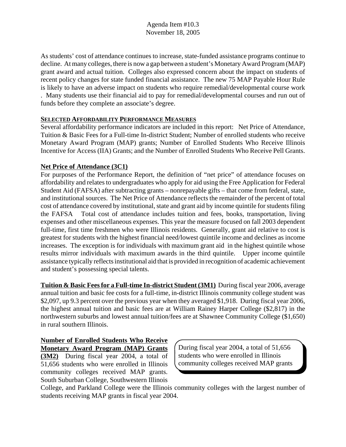As students' cost of attendance continues to increase, state-funded assistance programs continue to decline. At many colleges, there is now a gap between a student's Monetary Award Program (MAP) grant award and actual tuition. Colleges also expressed concern about the impact on students of recent policy changes for state funded financial assistance. The new 75 MAP Payable Hour Rule is likely to have an adverse impact on students who require remedial/developmental course work

. Many students use their financial aid to pay for remedial/developmental courses and run out of funds before they complete an associate's degree.

#### **SELECTED AFFORDABILITY PERFORMANCE MEASURES**

Several affordability performance indicators are included in this report: Net Price of Attendance, Tuition & Basic Fees for a Full-time In-district Student; Number of enrolled students who receive Monetary Award Program (MAP) grants; Number of Enrolled Students Who Receive Illinois Incentive for Access (IIA) Grants; and the Number of Enrolled Students Who Receive Pell Grants.

#### **Net Price of Attendance (3C1)**

For purposes of the Performance Report, the definition of "net price" of attendance focuses on affordability and relates to undergraduates who apply for aid using the Free Application for Federal Student Aid (FAFSA) after subtracting grants – nonrepayable gifts – that come from federal, state, and institutional sources. The Net Price of Attendance reflects the remainder of the percent of total cost of attendance covered by institutional, state and grant aid by income quintile for students filing the FAFSA Total cost of attendance includes tuition and fees, books, transportation, living expenses and other miscellaneous expenses. This year the measure focused on fall 2003 dependent full-time, first time freshmen who were Illinois residents. Generally, grant aid relative to cost is greatest for students with the highest financial need/lowest quintile income and declines as income increases. The exception is for individuals with maximum grant aid in the highest quintile whose results mirror individuals with maximum awards in the third quintile. Upper income quintile assistance typically reflects institutional aid that is provided in recognition of academic achievement and student's possessing special talents.

**Tuition & Basic Fees for a Full-time In-district Student (3M1)** During fiscal year 2006, average annual tuition and basic fee costs for a full-time, in-district Illinois community college student was \$2,097, up 9.3 percent over the previous year when they averaged \$1,918. During fiscal year 2006, the highest annual tuition and basic fees are at William Rainey Harper College (\$2,817) in the northwestern suburbs and lowest annual tuition/fees are at Shawnee Community College (\$1,650) in rural southern Illinois.

**Number of Enrolled Students Who Receive Monetary Award Program (MAP) Grants (3M2)** During fiscal year 2004, a total of 51,656 students who were enrolled in Illinois community colleges received MAP grants. South Suburban College, Southwestern Illinois

During fiscal year 2004, a total of 51,656 students who were enrolled in Illinois community colleges received MAP grants

College, and Parkland College were the Illinois community colleges with the largest number of students receiving MAP grants in fiscal year 2004.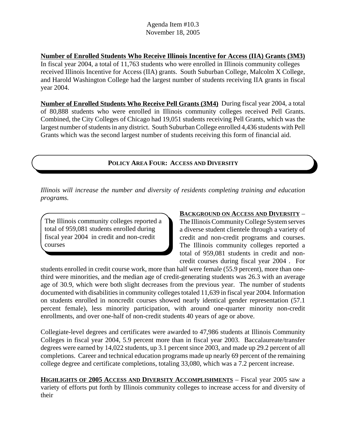#### **Number of Enrolled Students Who Receive Illinois Incentive for Access (IIA) Grants (3M3)**

In fiscal year 2004, a total of 11,763 students who were enrolled in Illinois community colleges received Illinois Incentive for Access (IIA) grants. South Suburban College, Malcolm X College, and Harold Washington College had the largest number of students receiving IIA grants in fiscal year 2004.

**Number of Enrolled Students Who Receive Pell Grants (3M4)** During fiscal year 2004, a total of 80,888 students who were enrolled in Illinois community colleges received Pell Grants. Combined, the City Colleges of Chicago had 19,051 students receiving Pell Grants, which was the largest number of students in any district. South Suburban College enrolled 4,436 students with Pell Grants which was the second largest number of students receiving this form of financial aid.

## **POLICY AREA FOUR: ACCESS AND DIVERSITY**

*Illinois will increase the number and diversity of residents completing training and education programs.*

The Illinois community colleges reported a total of 959,081 students enrolled during fiscal year 2004 in credit and non-credit courses

#### **BACKGROUND ON ACCESS AND DIVERSITY** –

The Illinois Community College System serves a diverse student clientele through a variety of credit and non-credit programs and courses. The Illinois community colleges reported a total of 959,081 students in credit and noncredit courses during fiscal year 2004 . For

students enrolled in credit course work, more than half were female (55.9 percent), more than onethird were minorities, and the median age of credit-generating students was 26.3 with an average age of 30.9, which were both slight decreases from the previous year. The number of students documented with disabilities in community colleges totaled 11,639 in fiscal year 2004. Information on students enrolled in noncredit courses showed nearly identical gender representation (57.1 percent female), less minority participation, with around one-quarter minority non-credit enrollments, and over one-half of non-credit students 40 years of age or above.

Collegiate-level degrees and certificates were awarded to 47,986 students at Illinois Community Colleges in fiscal year 2004, 5.9 percent more than in fiscal year 2003. Baccalaureate/transfer degrees were earned by 14,022 students, up 3.1 percent since 2003, and made up 29.2 percent of all completions. Career and technical education programs made up nearly 69 percent of the remaining college degree and certificate completions, totaling 33,080, which was a 7.2 percent increase.

**HIGHLIGHTS OF 2005 ACCESS AND DIVERSITY ACCOMPLISHMENTS** – Fiscal year 2005 saw a variety of efforts put forth by Illinois community colleges to increase access for and diversity of their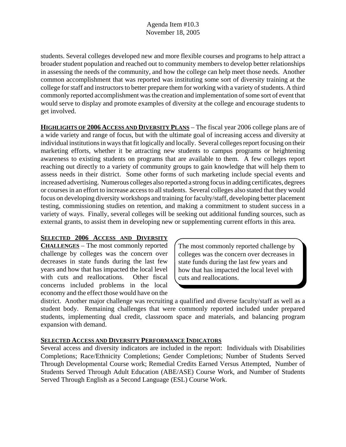students. Several colleges developed new and more flexible courses and programs to help attract a broader student population and reached out to community members to develop better relationships in assessing the needs of the community, and how the college can help meet those needs. Another common accomplishment that was reported was instituting some sort of diversity training at the college for staff and instructors to better prepare them for working with a variety of students. A third commonly reported accomplishment was the creation and implementation of some sort of event that would serve to display and promote examples of diversity at the college and encourage students to get involved.

**HIGHLIGHTS OF 2006 ACCESS AND DIVERSITY PLANS** – The fiscal year 2006 college plans are of a wide variety and range of focus, but with the ultimate goal of increasing access and diversity at individual institutions in ways that fit logically and locally. Several colleges report focusing on their marketing efforts, whether it be attracting new students to campus programs or heightening awareness to existing students on programs that are available to them. A few colleges report reaching out directly to a variety of community groups to gain knowledge that will help them to assess needs in their district. Some other forms of such marketing include special events and increased advertising. Numerous colleges also reported a strong focus in adding certificates, degrees or courses in an effort to increase access to all students. Several colleges also stated that they would focus on developing diversity workshops and training for faculty/staff, developing better placement testing, commissioning studies on retention, and making a commitment to student success in a variety of ways. Finally, several colleges will be seeking out additional funding sources, such as external grants, to assist them in developing new or supplementing current efforts in this area.

#### **SELECTED 2006 ACCESS AND DIVERSITY**

**CHALLENGES** – The most commonly reported challenge by colleges was the concern over decreases in state funds during the last few years and how that has impacted the local level with cuts and reallocations. Other fiscal concerns included problems in the local economy and the effect those would have on the

The most commonly reported challenge by colleges was the concern over decreases in state funds during the last few years and how that has impacted the local level with cuts and reallocations.

district. Another major challenge was recruiting a qualified and diverse faculty/staff as well as a student body. Remaining challenges that were commonly reported included under prepared students, implementing dual credit, classroom space and materials, and balancing program expansion with demand.

#### **SELECTED ACCESS AND DIVERSITY PERFORMANCE INDICATORS**

Several access and diversity indicators are included in the report: Individuals with Disabilities Completions; Race/Ethnicity Completions; Gender Completions; Number of Students Served Through Developmental Course work; Remedial Credits Earned Versus Attempted, Number of Students Served Through Adult Education (ABE/ASE) Course Work, and Number of Students Served Through English as a Second Language (ESL) Course Work.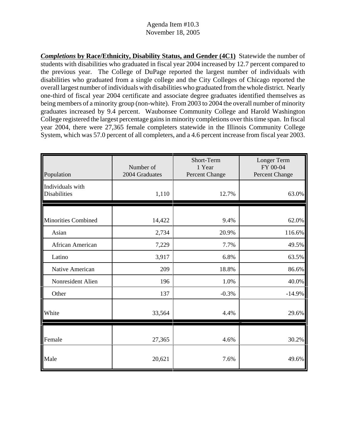*Completions* **by Race/Ethnicity, Disability Status, and Gender (4C1)** Statewide the number of students with disabilities who graduated in fiscal year 2004 increased by 12.7 percent compared to the previous year. The College of DuPage reported the largest number of individuals with disabilities who graduated from a single college and the City Colleges of Chicago reported the overall largest number of individuals with disabilities who graduated from the whole district. Nearly one-third of fiscal year 2004 certificate and associate degree graduates identified themselves as being members of a minority group (non-white). From 2003 to 2004 the overall number of minority graduates increased by 9.4 percent. Waubonsee Community College and Harold Washington College registered the largest percentage gains in minority completions over this time span. In fiscal year 2004, there were 27,365 female completers statewide in the Illinois Community College System, which was 57.0 percent of all completers, and a 4.6 percent increase from fiscal year 2003.

| Population                              | Number of<br>2004 Graduates | Short-Term<br>1 Year<br>Percent Change | Longer Term<br>FY 00-04<br>Percent Change |
|-----------------------------------------|-----------------------------|----------------------------------------|-------------------------------------------|
| Individuals with<br><b>Disabilities</b> | 1,110                       | 12.7%                                  | 63.0%                                     |
| <b>Minorities Combined</b>              | 14,422                      | 9.4%                                   | 62.0%                                     |
| Asian                                   | 2,734                       | 20.9%                                  | 116.6%                                    |
| African American                        | 7,229                       | 7.7%                                   | 49.5%                                     |
| Latino                                  | 3,917                       | 6.8%                                   | 63.5%                                     |
| Native American                         | 209                         | 18.8%                                  | 86.6%                                     |
| Nonresident Alien                       | 196                         | 1.0%                                   | 40.0%                                     |
| Other                                   | 137                         | $-0.3%$                                | $-14.9%$                                  |
| White                                   | 33,564                      | 4.4%                                   | 29.6%                                     |
| Female                                  | 27,365                      | 4.6%                                   | 30.2%                                     |
| Male                                    | 20,621                      | 7.6%                                   | 49.6%                                     |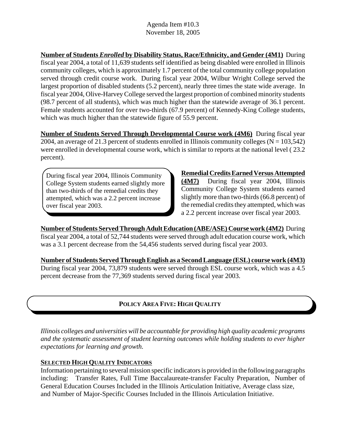**Number of Students** *Enrolled* **by Disability Status, Race/Ethnicity, and Gender (4M1)** During fiscal year 2004, a total of 11,639 students self identified as being disabled were enrolled in Illinois community colleges, which is approximately 1.7 percent of the total community college population served through credit course work. During fiscal year 2004, Wilbur Wright College served the largest proportion of disabled students (5.2 percent), nearly three times the state wide average. In fiscal year 2004, Olive-Harvey College served the largest proportion of combined minority students (98.7 percent of all students), which was much higher than the statewide average of 36.1 percent. Female students accounted for over two-thirds (67.9 percent) of Kennedy-King College students, which was much higher than the statewide figure of 55.9 percent.

**Number of Students Served Through Developmental Course work (4M6)** During fiscal year 2004, an average of 21.3 percent of students enrolled in Illinois community colleges ( $N = 103,542$ ) were enrolled in developmental course work, which is similar to reports at the national level ( 23.2 percent).

During fiscal year 2004, Illinois Community College System students earned slightly more than two-thirds of the remedial credits they attempted, which was a 2.2 percent increase over fiscal year 2003.

**Remedial Credits Earned Versus Attempted (4M7)** During fiscal year 2004, Illinois Community College System students earned slightly more than two-thirds (66.8 percent) of the remedial credits they attempted, which was a 2.2 percent increase over fiscal year 2003.

**Number of Students Served Through Adult Education (ABE/ASE) Course work (4M2)** During fiscal year 2004, a total of 52,744 students were served through adult education course work, which was a 3.1 percent decrease from the 54,456 students served during fiscal year 2003.

**Number of Students Served Through English as a Second Language (ESL) course work (4M3)** During fiscal year 2004, 73,879 students were served through ESL course work, which was a 4.5 percent decrease from the 77,369 students served during fiscal year 2003.

# **POLICY AREA FIVE: HIGH QUALITY**

*Illinois colleges and universities will be accountable for providing high quality academic programs and the systematic assessment of student learning outcomes while holding students to ever higher expectations for learning and growth.*

## **SELECTED HIGH QUALITY INDICATORS**

Information pertaining to several mission specific indicators is provided in the following paragraphs including: Transfer Rates, Full Time Baccalaureate-transfer Faculty Preparation, Number of General Education Courses Included in the Illinois Articulation Initiative, Average class size, and Number of Major-Specific Courses Included in the Illinois Articulation Initiative.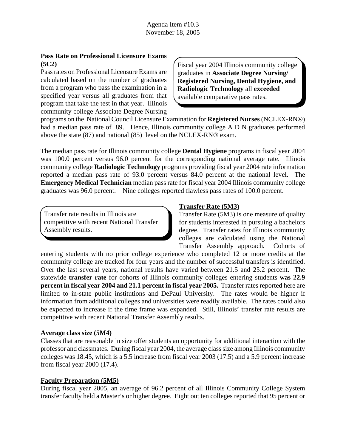## **Pass Rate on Professional Licensure Exams (5C2)**

Pass rates on Professional Licensure Exams are calculated based on the number of graduates from a program who pass the examination in a specified year versus all graduates from that program that take the test in that year. Illinois community college Associate Degree Nursing Fiscal year 2004 Illinois community college graduates in **Associate Degree Nursing/ Registered Nursing, Dental Hygiene, and Radiologic Technology** all **exceeded** available comparative pass rates.

programs on the National Council Licensure Examination for **Registered Nurses** (NCLEX-RN®) had a median pass rate of 89. Hence, Illinois community college A D N graduates performed above the state (87) and national (85) level on the NCLEX-RN® exam.

The median pass rate for Illinois community college **Dental Hygiene** programs in fiscal year 2004 was 100.0 percent versus 96.0 percent for the corresponding national average rate. Illinois community college **Radiologic Technology** programs providing fiscal year 2004 rate information reported a median pass rate of 93.0 percent versus 84.0 percent at the national level. The **Emergency Medical Technician** median pass rate for fiscal year 2004 Illinois community college graduates was 96.0 percent. Nine colleges reported flawless pass rates of 100.0 percent.

Transfer rate results in Illinois are competitive with recent National Transfer Assembly results.

## **Transfer Rate (5M3)**

Transfer Rate (5M3) is one measure of quality for students interested in pursuing a bachelors degree. Transfer rates for Illinois community colleges are calculated using the National Transfer Assembly approach. Cohorts of

entering students with no prior college experience who completed 12 or more credits at the community college are tracked for four years and the number of successful transfers is identified. Over the last several years, national results have varied between 21.5 and 25.2 percent. The statewide **transfer rate** for cohorts of Illinois community colleges entering students **was 22.9 percent in fiscal year 2004 and 21.1 percent in fiscal year 2005.** Transfer rates reported here are limited to in-state public institutions and DePaul University. The rates would be higher if information from additional colleges and universities were readily available. The rates could also be expected to increase if the time frame was expanded. Still, Illinois' transfer rate results are competitive with recent National Transfer Assembly results.

## **Average class size (5M4)**

Classes that are reasonable in size offer students an opportunity for additional interaction with the professor and classmates. During fiscal year 2004, the average class size among Illinois community colleges was 18.45, which is a 5.5 increase from fiscal year 2003 (17.5) and a 5.9 percent increase from fiscal year 2000 (17.4).

## **Faculty Preparation (5M5)**

During fiscal year 2005, an average of 96.2 percent of all Illinois Community College System transfer faculty held a Master's or higher degree. Eight out ten colleges reported that 95 percent or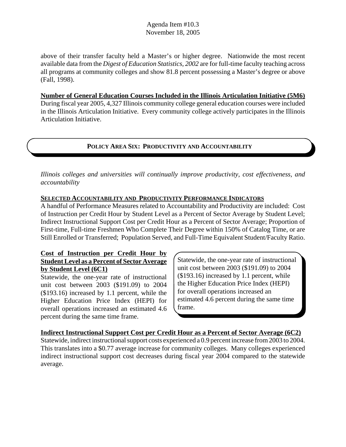above of their transfer faculty held a Master's or higher degree. Nationwide the most recent available data from the *Digest of Education Statistics, 2002* are for full-time faculty teaching across all programs at community colleges and show 81.8 percent possessing a Master's degree or above (Fall, 1998).

**Number of General Education Courses Included in the Illinois Articulation Initiative (5M6)** During fiscal year 2005, 4,327 Illinois community college general education courses were included in the Illinois Articulation Initiative. Every community college actively participates in the Illinois Articulation Initiative.

## **POLICY AREA SIX: PRODUCTIVITY AND ACCOUNTABILITY**

*Illinois colleges and universities will continually improve productivity, cost effectiveness, and accountability*

## **SELECTED ACCOUNTABILITY AND PRODUCTIVITY PERFORMANCE INDICATORS**

A handful of Performance Measures related to Accountability and Productivity are included: Cost of Instruction per Credit Hour by Student Level as a Percent of Sector Average by Student Level; Indirect Instructional Support Cost per Credit Hour as a Percent of Sector Average; Proportion of First-time, Full-time Freshmen Who Complete Their Degree within 150% of Catalog Time, or are Still Enrolled or Transferred; Population Served, and Full-Time Equivalent Student/Faculty Ratio.

#### **Cost of Instruction per Credit Hour by Student Level as a Percent of Sector Average by Student Level (6C1)**

Statewide, the one-year rate of instructional unit cost between 2003 (\$191.09) to 2004 (\$193.16) increased by 1.1 percent, while the Higher Education Price Index (HEPI) for overall operations increased an estimated 4.6 percent during the same time frame.

Statewide, the one-year rate of instructional unit cost between 2003 (\$191.09) to 2004 (\$193.16) increased by 1.1 percent, while the Higher Education Price Index (HEPI) for overall operations increased an estimated 4.6 percent during the same time frame.

## **Indirect Instructional Support Cost per Credit Hour as a Percent of Sector Average (6C2)**

Statewide, indirect instructional support costs experienced a 0.9 percent increase from 2003 to 2004. This translates into a \$0.77 average increase for community colleges. Many colleges experienced indirect instructional support cost decreases during fiscal year 2004 compared to the statewide average.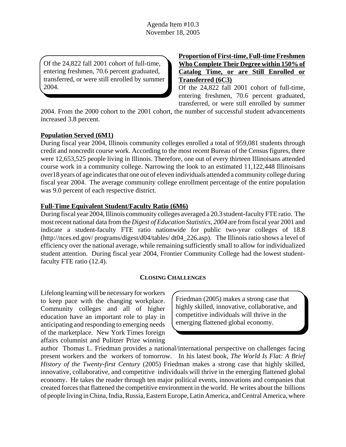Of the 24,822 fall 2001 cohort of full-time, entering freshmen, 70.6 percent graduated, transferred, or were still enrolled by summer 2004.

**Proportion of First-time, Full-time Freshmen Who Complete Their Degree within 150% of Catalog Time, or are Still Enrolled or Transferred (6C3)**

Of the 24,822 fall 2001 cohort of full-time, entering freshmen, 70.6 percent graduated, transferred, or were still enrolled by summer

2004. From the 2000 cohort to the 2001 cohort, the number of successful student advancements increased 3.8 percent.

#### **Population Served (6M1)**

During fiscal year 2004, Illinois community colleges enrolled a total of 959,081 students through credit and noncredit course work. According to the most recent Bureau of the Census figures, there were 12,653,525 people living in Illinois. Therefore, one out of every thirteen Illinoisans attended course work in a community college. Narrowing the look to an estimated 11,122,448 Illinoisans over18 years of age indicates that one out of eleven individuals attended a community college during fiscal year 2004. The average community college enrollment percentage of the entire population was 9.0 percent of each respective district.

#### **Full-Time Equivalent Student/Faculty Ratio (6M6)**

During fiscal year 2004, Illinois community colleges averaged a 20.3 student-faculty FTE ratio. The most recent national data from the *Digest of Education Statistics, 2004* are from fiscal year 2001 and indicate a student-faculty FTE ratio nationwide for public two-year colleges of 18.8 (http://nces.ed.gov/ programs/digest/d04/tables/ dt04\_226.asp). The Illinois ratio shows a level of efficiency over the national average, while remaining sufficiently small to allow for individualized student attention. During fiscal year 2004, Frontier Community College had the lowest studentfaculty FTE ratio (12.4).

#### **CLOSING CHALLENGES**

Lifelong learning will be necessary for workers to keep pace with the changing workplace. Community colleges and all of higher education have an important role to play in anticipating and responding to emerging needs of the marketplace. New York Times foreign affairs columnist and Pulitzer Prize winning

Friedman (2005) makes a strong case that highly skilled, innovative, collaborative, and competitive individuals will thrive in the emerging flattened global economy.

author Thomas L. Friedman provides a national/international perspective on challenges facing present workers and the workers of tomorrow. In his latest book, *The World Is Flat: A Brief History of the Twenty-first Century* (2005) Friedman makes a strong case that highly skilled, innovative, collaborative, and competitive individuals will thrive in the emerging flattened global economy. He takes the reader through ten major political events, innovations and companies that created forces that flattened the competitive environment in the world. He writes about the billions of people living in China, India, Russia, Eastern Europe, Latin America, and Central America, where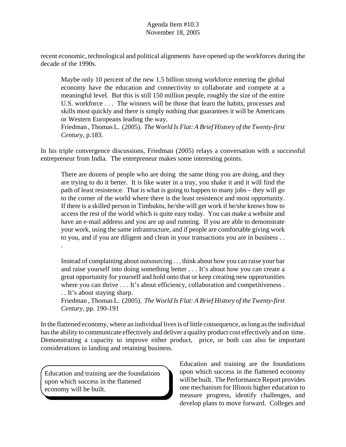recent economic, technological and political alignments have opened up the workforces during the decade of the 1990s.

Maybe only 10 percent of the new 1.5 billion strong workforce entering the global economy have the education and connectivity to collaborate and compete at a meaningful level. But this is still 150 million people, roughly the size of the entire U.S. workforce . . . The winners will be those that learn the habits, processes and skills most quickly and there is simply nothing that guarantees it will be Americans or Western Europeans leading the way.

Friedman , Thomas L. (2005). *The World Is Flat: A Brief History of the Twenty-first Century*, p.183.

In his triple convergence discussions, Friedman (2005) relays a conversation with a successful entrepreneur from India. The entrepreneur makes some interesting points.

There are dozens of people who are doing the same thing you are doing, and they are trying to do it better. It is like water in a tray, you shake it and it will find the path of least resistence. That is what is going to happen to many jobs – they will go to the corner of the world where there is the least resistence and most opportunity. If there is a skilled person in Timbuktu, he/she will get work if he/she knows how to access the rest of the world which is quite easy today. You can make a website and have an e-mail address and you are up and running. If you are able to demonstrate your work, using the same infrastructure, and if people are comfortable giving work to you, and if you are diligent and clean in your transactions you are in business . . .

Instead of complaining about outsourcing . . . think about how you can raise your bar and raise yourself into doing something better . . . It's about how you can create a great opportunity for yourself and hold onto that or keep creating new opportunities where you can thrive . . . It's about efficiency, collaboration and competitiveness . . . It's about staying sharp.

Friedman , Thomas L. (2005). *The World Is Flat: A Brief History of the Twenty-first Century*, pp. 190-191

In the flattened economy, where an individual lives is of little consequence, as long as the individual has the ability to communicate effectively and deliver a quality product cost effectively and on time. Demonstrating a capacity to improve either product, price, or both can also be important considerations in landing and retaining business.

Education and training are the foundations upon which success in the flattened economy will be built.

Education and training are the foundations upon which success in the flattened economy will be built. The Performance Report provides one mechanism for Illinois higher education to measure progress, identify challenges, and develop plans to move forward. Colleges and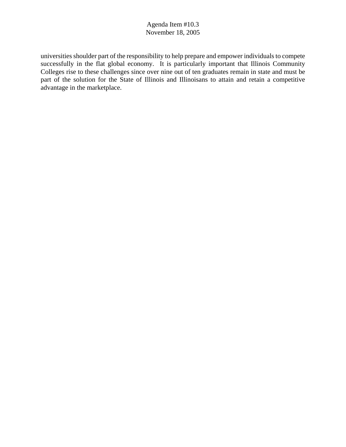universities shoulder part of the responsibility to help prepare and empower individuals to compete successfully in the flat global economy. It is particularly important that Illinois Community Colleges rise to these challenges since over nine out of ten graduates remain in state and must be part of the solution for the State of Illinois and Illinoisans to attain and retain a competitive advantage in the marketplace.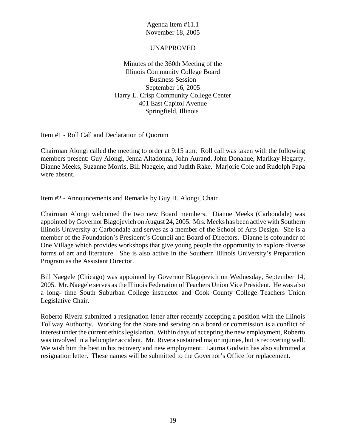#### UNAPPROVED

Minutes of the 360th Meeting of the Illinois Community College Board Business Session September 16, 2005 Harry L. Crisp Community College Center 401 East Capitol Avenue Springfield, Illinois

#### Item #1 - Roll Call and Declaration of Quorum

Chairman Alongi called the meeting to order at 9:15 a.m. Roll call was taken with the following members present: Guy Alongi, Jenna Altadonna, John Aurand, John Donahue, Marikay Hegarty, Dianne Meeks, Suzanne Morris, Bill Naegele, and Judith Rake. Marjorie Cole and Rudolph Papa were absent.

#### Item #2 - Announcements and Remarks by Guy H. Alongi, Chair

Chairman Alongi welcomed the two new Board members. Dianne Meeks (Carbondale) was appointed by Governor Blagojevich on August 24, 2005. Mrs. Meeks has been active with Southern Illinois University at Carbondale and serves as a member of the School of Arts Design. She is a member of the Foundation's President's Council and Board of Directors. Dianne is cofounder of One Village which provides workshops that give young people the opportunity to explore diverse forms of art and literature. She is also active in the Southern Illinois University's Preparation Program as the Assistant Director.

Bill Naegele (Chicago) was appointed by Governor Blagojevich on Wednesday, September 14, 2005. Mr. Naegele serves as the Illinois Federation of Teachers Union Vice President. He was also a long- time South Suburban College instructor and Cook County College Teachers Union Legislative Chair.

Roberto Rivera submitted a resignation letter after recently accepting a position with the Illinois Tollway Authority. Working for the State and serving on a board or commission is a conflict of interest under the current ethics legislation. Within days of accepting the new employment, Roberto was involved in a helicopter accident. Mr. Rivera sustained major injuries, but is recovering well. We wish him the best in his recovery and new employment. Laurna Godwin has also submitted a resignation letter. These names will be submitted to the Governor's Office for replacement.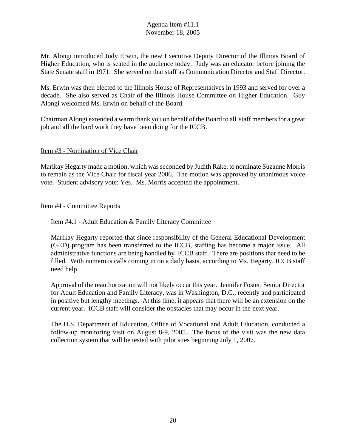Mr. Alongi introduced Judy Erwin, the new Executive Deputy Director of the Illinois Board of Higher Education, who is seated in the audience today. Judy was an educator before joining the State Senate staff in 1971. She served on that staff as Communication Director and Staff Director.

Ms. Erwin was then elected to the Illinois House of Representatives in 1993 and served for over a decade. She also served as Chair of the Illinois House Committee on Higher Education. Guy Alongi welcomed Ms. Erwin on behalf of the Board.

Chairman Alongi extended a warm thank you on behalf of the Board to all staff members for a great job and all the hard work they have been doing for the ICCB.

## Item #3 - Nomination of Vice Chair

Marikay Hegarty made a motion, which was seconded by Judith Rake, to nominate Suzanne Morris to remain as the Vice Chair for fiscal year 2006. The motion was approved by unanimous voice vote. Student advisory vote: Yes. Ms. Morris accepted the appointment.

#### Item #4 - Committee Reports

#### Item #4.1 - Adult Education & Family Literacy Committee

Marikay Hegarty reported that since responsibility of the General Educational Development (GED) program has been transferred to the ICCB, staffing has become a major issue. All administrative functions are being handled by ICCB staff. There are positions that need to be filled. With numerous calls coming in on a daily basis, according to Ms. Hegarty, ICCB staff need help.

Approval of the reauthorization will not likely occur this year. Jennifer Foster, Senior Director for Adult Education and Family Literacy, was in Washington, D.C., recently and participated in positive but lengthy meetings. At this time, it appears that there will be an extension on the current year. ICCB staff will consider the obstacles that may occur in the next year.

The U.S. Department of Education, Office of Vocational and Adult Education, conducted a follow-up monitoring visit on August 8-9, 2005. The focus of the visit was the new data collection system that will be tested with pilot sites beginning July 1, 2007.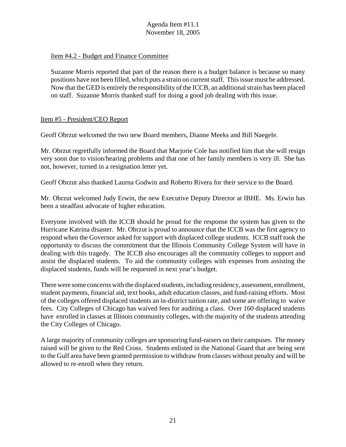#### Item #4.2 - Budget and Finance Committee

Suzanne Morris reported that part of the reason there is a budget balance is because so many positions have not been filled, which puts a strain on current staff. This issue must be addressed. Now that the GED is entirely the responsibility of the ICCB, an additional strain has been placed on staff. Suzanne Morris thanked staff for doing a good job dealing with this issue.

#### Item #5 - President/CEO Report

Geoff Obrzut welcomed the two new Board members, Dianne Meeks and Bill Naegele.

Mr. Obrzut regretfully informed the Board that Marjorie Cole has notified him that she will resign very soon due to vision/hearing problems and that one of her family members is very ill. She has not, however, turned in a resignation letter yet.

Geoff Obrzut also thanked Laurna Godwin and Roberto Rivera for their service to the Board.

Mr. Obrzut welcomed Judy Erwin, the new Executive Deputy Director at IBHE. Ms. Erwin has been a steadfast advocate of higher education.

Everyone involved with the ICCB should be proud for the response the system has given to the Hurricane Katrina disaster. Mr. Obrzut is proud to announce that the ICCB was the first agency to respond when the Governor asked for support with displaced college students. ICCB staff took the opportunity to discuss the commitment that the Illinois Community College System will have in dealing with this tragedy. The ICCB also encourages all the community colleges to support and assist the displaced students. To aid the community colleges with expenses from assisting the displaced students, funds will be requested in next year's budget.

There were some concerns with the displaced students, including residency, assessment, enrollment, student payments, financial aid, text books, adult education classes, and fund-raising efforts. Most of the colleges offered displaced students an in-district tuition rate, and some are offering to waive fees. City Colleges of Chicago has waived fees for auditing a class. Over 160 displaced students have enrolled in classes at Illinois community colleges, with the majority of the students attending the City Colleges of Chicago.

A large majority of community colleges are sponsoring fund-raisers on their campuses. The money raised will be given to the Red Cross. Students enlisted in the National Guard that are being sent to the Gulf area have been granted permission to withdraw from classes without penalty and will be allowed to re-enroll when they return.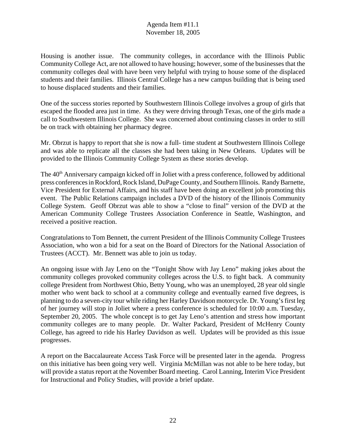Housing is another issue. The community colleges, in accordance with the Illinois Public Community College Act, are not allowed to have housing; however, some of the businesses that the community colleges deal with have been very helpful with trying to house some of the displaced students and their families. Illinois Central College has a new campus building that is being used to house displaced students and their families.

One of the success stories reported by Southwestern Illinois College involves a group of girls that escaped the flooded area just in time. As they were driving through Texas, one of the girls made a call to Southwestern Illinois College. She was concerned about continuing classes in order to still be on track with obtaining her pharmacy degree.

Mr. Obrzut is happy to report that she is now a full- time student at Southwestern Illinois College and was able to replicate all the classes she had been taking in New Orleans. Updates will be provided to the Illinois Community College System as these stories develop.

The 40<sup>th</sup> Anniversary campaign kicked off in Joliet with a press conference, followed by additional press conferences in Rockford, Rock Island, DuPage County, and Southern Illinois. Randy Barnette, Vice President for External Affairs, and his staff have been doing an excellent job promoting this event. The Public Relations campaign includes a DVD of the history of the Illinois Community College System. Geoff Obrzut was able to show a "close to final" version of the DVD at the American Community College Trustees Association Conference in Seattle, Washington, and received a positive reaction.

Congratulations to Tom Bennett, the current President of the Illinois Community College Trustees Association, who won a bid for a seat on the Board of Directors for the National Association of Trustees (ACCT). Mr. Bennett was able to join us today.

An ongoing issue with Jay Leno on the "Tonight Show with Jay Leno" making jokes about the community colleges provoked community colleges across the U.S. to fight back. A community college President from Northwest Ohio, Betty Young, who was an unemployed, 28 year old single mother who went back to school at a community college and eventually earned five degrees, is planning to do a seven-city tour while riding her Harley Davidson motorcycle. Dr. Young's first leg of her journey will stop in Joliet where a press conference is scheduled for 10:00 a.m. Tuesday, September 20, 2005. The whole concept is to get Jay Leno's attention and stress how important community colleges are to many people. Dr. Walter Packard, President of McHenry County College, has agreed to ride his Harley Davidson as well. Updates will be provided as this issue progresses.

A report on the Baccalaureate Access Task Force will be presented later in the agenda. Progress on this initiative has been going very well. Virginia McMillan was not able to be here today, but will provide a status report at the November Board meeting. Carol Lanning, Interim Vice President for Instructional and Policy Studies, will provide a brief update.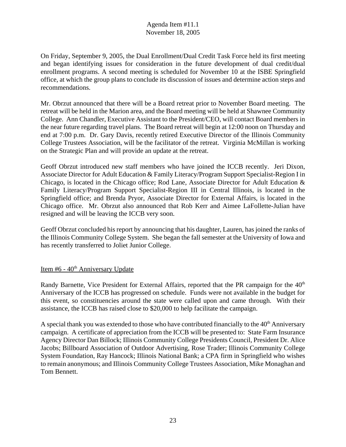On Friday, September 9, 2005, the Dual Enrollment/Dual Credit Task Force held its first meeting and began identifying issues for consideration in the future development of dual credit/dual enrollment programs. A second meeting is scheduled for November 10 at the ISBE Springfield office, at which the group plans to conclude its discussion of issues and determine action steps and recommendations.

Mr. Obrzut announced that there will be a Board retreat prior to November Board meeting. The retreat will be held in the Marion area, and the Board meeting will be held at Shawnee Community College. Ann Chandler, Executive Assistant to the President/CEO, will contact Board members in the near future regarding travel plans. The Board retreat will begin at 12:00 noon on Thursday and end at 7:00 p.m. Dr. Gary Davis, recently retired Executive Director of the Illinois Community College Trustees Association, will be the facilitator of the retreat. Virginia McMillan is working on the Strategic Plan and will provide an update at the retreat.

Geoff Obrzut introduced new staff members who have joined the ICCB recently. Jeri Dixon, Associate Director for Adult Education & Family Literacy/Program Support Specialist-Region I in Chicago, is located in the Chicago office; Rod Lane, Associate Director for Adult Education & Family Literacy/Program Support Specialist-Region III in Central Illinois, is located in the Springfield office; and Brenda Pryor, Associate Director for External Affairs, is located in the Chicago office. Mr. Obrzut also announced that Rob Kerr and Aimee LaFollette-Julian have resigned and will be leaving the ICCB very soon.

Geoff Obrzut concluded his report by announcing that his daughter, Lauren, has joined the ranks of the Illinois Community College System. She began the fall semester at the University of Iowa and has recently transferred to Joliet Junior College.

# Item #6 - 40<sup>th</sup> Anniversary Update

Randy Barnette, Vice President for External Affairs, reported that the PR campaign for the 40<sup>th</sup> Anniversary of the ICCB has progressed on schedule. Funds were not available in the budget for this event, so constituencies around the state were called upon and came through. With their assistance, the ICCB has raised close to \$20,000 to help facilitate the campaign.

A special thank you was extended to those who have contributed financially to the  $40<sup>th</sup>$  Anniversary campaign. A certificate of appreciation from the ICCB will be presented to: State Farm Insurance Agency Director Dan Billock; Illinois Community College Presidents Council, President Dr. Alice Jacobs; Billboard Association of Outdoor Advertising, Rose Trader; Illinois Community College System Foundation, Ray Hancock; Illinois National Bank; a CPA firm in Springfield who wishes to remain anonymous; and Illinois Community College Trustees Association, Mike Monaghan and Tom Bennett.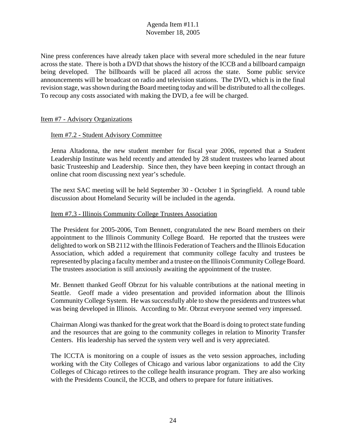Nine press conferences have already taken place with several more scheduled in the near future across the state. There is both a DVD that shows the history of the ICCB and a billboard campaign being developed. The billboards will be placed all across the state. Some public service announcements will be broadcast on radio and television stations. The DVD, which is in the final revision stage, was shown during the Board meeting today and will be distributed to all the colleges. To recoup any costs associated with making the DVD, a fee will be charged.

#### Item #7 - Advisory Organizations

#### Item #7.2 - Student Advisory Committee

Jenna Altadonna, the new student member for fiscal year 2006, reported that a Student Leadership Institute was held recently and attended by 28 student trustees who learned about basic Trusteeship and Leadership. Since then, they have been keeping in contact through an online chat room discussing next year's schedule.

The next SAC meeting will be held September 30 - October 1 in Springfield. A round table discussion about Homeland Security will be included in the agenda.

#### Item #7.3 - Illinois Community College Trustees Association

The President for 2005-2006, Tom Bennett, congratulated the new Board members on their appointment to the Illinois Community College Board. He reported that the trustees were delighted to work on SB 2112 with the Illinois Federation of Teachers and the Illinois Education Association, which added a requirement that community college faculty and trustees be represented by placing a faculty member and a trustee on the Illinois Community College Board. The trustees association is still anxiously awaiting the appointment of the trustee.

Mr. Bennett thanked Geoff Obrzut for his valuable contributions at the national meeting in Seattle. Geoff made a video presentation and provided information about the Illinois Community College System. He was successfully able to show the presidents and trustees what was being developed in Illinois. According to Mr. Obrzut everyone seemed very impressed.

Chairman Alongi was thanked for the great work that the Board is doing to protect state funding and the resources that are going to the community colleges in relation to Minority Transfer Centers. His leadership has served the system very well and is very appreciated.

The ICCTA is monitoring on a couple of issues as the veto session approaches, including working with the City Colleges of Chicago and various labor organizations to add the City Colleges of Chicago retirees to the college health insurance program. They are also working with the Presidents Council, the ICCB, and others to prepare for future initiatives.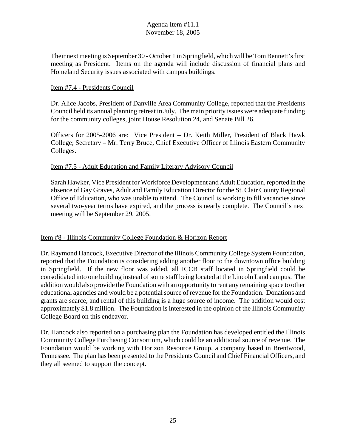Their next meeting is September 30 - October 1 in Springfield, which will be Tom Bennett's first meeting as President. Items on the agenda will include discussion of financial plans and Homeland Security issues associated with campus buildings.

## Item #7.4 - Presidents Council

Dr. Alice Jacobs, President of Danville Area Community College, reported that the Presidents Council held its annual planning retreat in July. The main priority issues were adequate funding for the community colleges, joint House Resolution 24, and Senate Bill 26.

Officers for 2005-2006 are: Vice President – Dr. Keith Miller, President of Black Hawk College; Secretary – Mr. Terry Bruce, Chief Executive Officer of Illinois Eastern Community Colleges.

## Item #7.5 - Adult Education and Family Literary Advisory Council

Sarah Hawker, Vice President for Workforce Development and Adult Education, reported in the absence of Gay Graves, Adult and Family Education Director for the St. Clair County Regional Office of Education, who was unable to attend. The Council is working to fill vacancies since several two-year terms have expired, and the process is nearly complete. The Council's next meeting will be September 29, 2005.

## Item #8 - Illinois Community College Foundation & Horizon Report

Dr. Raymond Hancock, Executive Director of the Illinois Community College System Foundation, reported that the Foundation is considering adding another floor to the downtown office building in Springfield. If the new floor was added, all ICCB staff located in Springfield could be consolidated into one building instead of some staff being located at the Lincoln Land campus. The addition would also provide the Foundation with an opportunity to rent any remaining space to other educational agencies and would be a potential source of revenue for the Foundation. Donations and grants are scarce, and rental of this building is a huge source of income. The addition would cost approximately \$1.8 million. The Foundation is interested in the opinion of the Illinois Community College Board on this endeavor.

Dr. Hancock also reported on a purchasing plan the Foundation has developed entitled the Illinois Community College Purchasing Consortium, which could be an additional source of revenue. The Foundation would be working with Horizon Resource Group, a company based in Brentwood, Tennessee. The plan has been presented to the Presidents Council and Chief Financial Officers, and they all seemed to support the concept.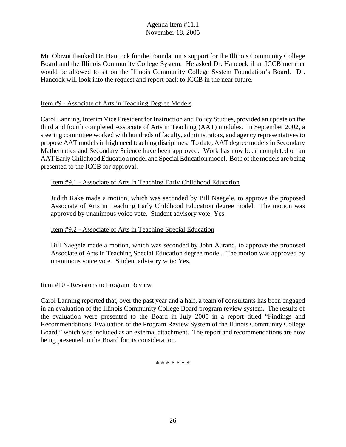Mr. Obrzut thanked Dr. Hancock for the Foundation's support for the Illinois Community College Board and the Illinois Community College System. He asked Dr. Hancock if an ICCB member would be allowed to sit on the Illinois Community College System Foundation's Board. Dr. Hancock will look into the request and report back to ICCB in the near future.

#### Item #9 - Associate of Arts in Teaching Degree Models

Carol Lanning, Interim Vice President for Instruction and Policy Studies, provided an update on the third and fourth completed Associate of Arts in Teaching (AAT) modules. In September 2002, a steering committee worked with hundreds of faculty, administrators, and agency representatives to propose AAT models in high need teaching disciplines. To date, AAT degree models in Secondary Mathematics and Secondary Science have been approved. Work has now been completed on an AAT Early Childhood Education model and Special Education model. Both of the models are being presented to the ICCB for approval.

#### Item #9.1 - Associate of Arts in Teaching Early Childhood Education

Judith Rake made a motion, which was seconded by Bill Naegele, to approve the proposed Associate of Arts in Teaching Early Childhood Education degree model. The motion was approved by unanimous voice vote. Student advisory vote: Yes.

## Item #9.2 - Associate of Arts in Teaching Special Education

Bill Naegele made a motion, which was seconded by John Aurand, to approve the proposed Associate of Arts in Teaching Special Education degree model. The motion was approved by unanimous voice vote. Student advisory vote: Yes.

## Item #10 - Revisions to Program Review

Carol Lanning reported that, over the past year and a half, a team of consultants has been engaged in an evaluation of the Illinois Community College Board program review system. The results of the evaluation were presented to the Board in July 2005 in a report titled "Findings and Recommendations: Evaluation of the Program Review System of the Illinois Community College Board," which was included as an external attachment. The report and recommendations are now being presented to the Board for its consideration.

\* \* \* \* \* \* \*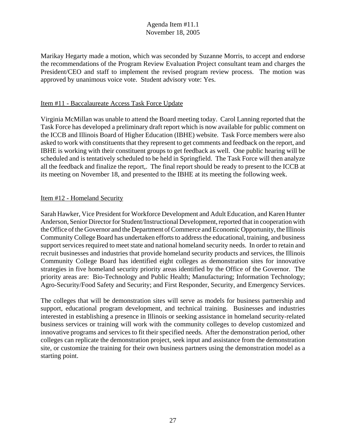Marikay Hegarty made a motion, which was seconded by Suzanne Morris, to accept and endorse the recommendations of the Program Review Evaluation Project consultant team and charges the President/CEO and staff to implement the revised program review process. The motion was approved by unanimous voice vote. Student advisory vote: Yes.

#### Item #11 - Baccalaureate Access Task Force Update

Virginia McMillan was unable to attend the Board meeting today. Carol Lanning reported that the Task Force has developed a preliminary draft report which is now available for public comment on the ICCB and Illinois Board of Higher Education (IBHE) website. Task Force members were also asked to work with constituents that they represent to get comments and feedback on the report, and IBHE is working with their constituent groups to get feedback as well. One public hearing will be scheduled and is tentatively scheduled to be held in Springfield. The Task Force will then analyze all the feedback and finalize the report,. The final report should be ready to present to the ICCB at its meeting on November 18, and presented to the IBHE at its meeting the following week.

#### Item #12 - Homeland Security

Sarah Hawker, Vice President for Workforce Development and Adult Education, and Karen Hunter Anderson, Senior Director for Student/Instructional Development, reported that in cooperation with the Office of the Governor and the Department of Commerce and Economic Opportunity, the Illinois Community College Board has undertaken efforts to address the educational, training, and business support services required to meet state and national homeland security needs. In order to retain and recruit businesses and industries that provide homeland security products and services, the Illinois Community College Board has identified eight colleges as demonstration sites for innovative strategies in five homeland security priority areas identified by the Office of the Governor. The priority areas are: Bio-Technology and Public Health; Manufacturing; Information Technology; Agro-Security/Food Safety and Security; and First Responder, Security, and Emergency Services.

The colleges that will be demonstration sites will serve as models for business partnership and support, educational program development, and technical training. Businesses and industries interested in establishing a presence in Illinois or seeking assistance in homeland security-related business services or training will work with the community colleges to develop customized and innovative programs and services to fit their specified needs. After the demonstration period, other colleges can replicate the demonstration project, seek input and assistance from the demonstration site, or customize the training for their own business partners using the demonstration model as a starting point.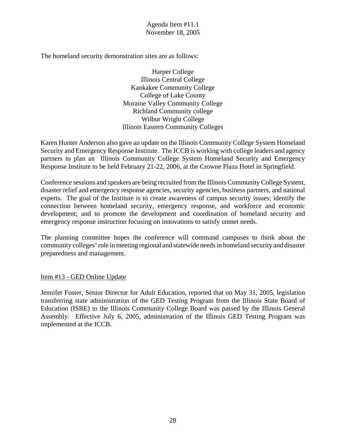The homeland security demonstration sites are as follows:

Harper College Illinois Central College Kankakee Community College College of Lake County Moraine Valley Community College Richland Community college Wilbur Wright College Illinois Eastern Community Colleges

Karen Hunter Anderson also gave an update on the Illinois Community College System Homeland Security and Emergency Response Institute. The ICCB is working with college leaders and agency partners to plan an Illinois Community College System Homeland Security and Emergency Response Institute to be held February 21-22, 2006, at the Crowne Plaza Hotel in Springfield.

Conference sessions and speakers are being recruited from the Illinois Community College System, disaster relief and emergency response agencies, security agencies, business partners, and national experts. The goal of the Institute is to create awareness of campus security issues; identify the connection between homeland security, emergency response, and workforce and economic development; and to promote the development and coordination of homeland security and emergency response instruction focusing on innovations to satisfy unmet needs.

The planning committee hopes the conference will command campuses to think about the community colleges' role in meeting regional and statewide needs in homeland security and disaster preparedness and management.

Item #13 - GED Online Update

Jennifer Foster, Senior Director for Adult Education, reported that on May 31, 2005, legislation transferring state administration of the GED Testing Program from the Illinois State Board of Education (ISBE) to the Illinois Community College Board was passed by the Illinois General Assembly. Effective July 6, 2005, administration of the Illinois GED Testing Program was implemented at the ICCB.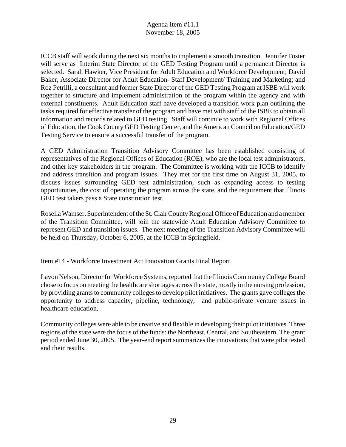ICCB staff will work during the next six months to implement a smooth transition. Jennifer Foster will serve as Interim State Director of the GED Testing Program until a permanent Director is selected. Sarah Hawker, Vice President for Adult Education and Workforce Development; David Baker, Associate Director for Adult Education- Staff Development/ Training and Marketing; and Roz Petrilli, a consultant and former State Director of the GED Testing Program at ISBE will work together to structure and implement administration of the program within the agency and with external constituents. Adult Education staff have developed a transition work plan outlining the tasks required for effective transfer of the program and have met with staff of the ISBE to obtain all information and records related to GED testing. Staff will continue to work with Regional Offices of Education, the Cook County GED Testing Center, and the American Council on Education/GED Testing Service to ensure a successful transfer of the program.

A GED Administration Transition Advisory Committee has been established consisting of representatives of the Regional Offices of Education (ROE), who are the local test administrators, and other key stakeholders in the program. The Committee is working with the ICCB to identify and address transition and program issues. They met for the first time on August 31, 2005, to discuss issues surrounding GED test administration, such as expanding access to testing opportunities, the cost of operating the program across the state, and the requirement that Illinois GED test takers pass a State constitution test.

Rosella Wamser, Superintendent of the St. Clair County Regional Office of Education and a member of the Transition Committee, will join the statewide Adult Education Advisory Committee to represent GED and transition issues. The next meeting of the Transition Advisory Committee will be held on Thursday, October 6, 2005, at the ICCB in Springfield.

## Item #14 - Workforce Investment Act Innovation Grants Final Report

Lavon Nelson, Director for Workforce Systems, reported that the Illinois Community College Board chose to focus on meeting the healthcare shortages across the state, mostly in the nursing profession, by providing grants to community colleges to develop pilot initiatives. The grants gave colleges the opportunity to address capacity, pipeline, technology, and public-private venture issues in healthcare education.

Community colleges were able to be creative and flexible in developing their pilot initiatives. Three regions of the state were the focus of the funds: the Northeast, Central, and Southeastern. The grant period ended June 30, 2005. The year-end report summarizes the innovations that were pilot tested and their results.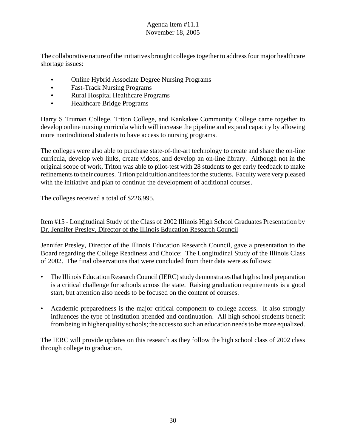The collaborative nature of the initiatives brought colleges together to address four major healthcare shortage issues:

- Online Hybrid Associate Degree Nursing Programs
- Fast-Track Nursing Programs
- Rural Hospital Healthcare Programs
- Healthcare Bridge Programs

Harry S Truman College, Triton College, and Kankakee Community College came together to develop online nursing curricula which will increase the pipeline and expand capacity by allowing more nontraditional students to have access to nursing programs.

The colleges were also able to purchase state-of-the-art technology to create and share the on-line curricula, develop web links, create videos, and develop an on-line library. Although not in the original scope of work, Triton was able to pilot-test with 28 students to get early feedback to make refinements to their courses. Triton paid tuition and fees for the students. Faculty were very pleased with the initiative and plan to continue the development of additional courses.

The colleges received a total of \$226,995.

Item #15 - Longitudinal Study of the Class of 2002 Illinois High School Graduates Presentation by Dr. Jennifer Presley, Director of the Illinois Education Research Council

Jennifer Presley, Director of the Illinois Education Research Council, gave a presentation to the Board regarding the College Readiness and Choice: The Longitudinal Study of the Illinois Class of 2002. The final observations that were concluded from their data were as follows:

- The Illinois Education Research Council (IERC) study demonstrates that high school preparation is a critical challenge for schools across the state. Raising graduation requirements is a good start, but attention also needs to be focused on the content of courses.
- Academic preparedness is the major critical component to college access. It also strongly influences the type of institution attended and continuation. All high school students benefit from being in higher quality schools; the access to such an education needs to be more equalized.

The IERC will provide updates on this research as they follow the high school class of 2002 class through college to graduation.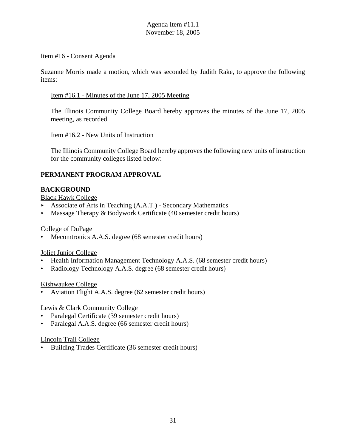#### Item #16 - Consent Agenda

Suzanne Morris made a motion, which was seconded by Judith Rake, to approve the following items:

#### Item #16.1 - Minutes of the June 17, 2005 Meeting

The Illinois Community College Board hereby approves the minutes of the June 17, 2005 meeting, as recorded.

#### Item #16.2 - New Units of Instruction

The Illinois Community College Board hereby approves the following new units of instruction for the community colleges listed below:

## **PERMANENT PROGRAM APPROVAL**

## **BACKGROUND**

Black Hawk College

- Associate of Arts in Teaching  $(A.A.T.)$  Secondary Mathematics
- < Massage Therapy & Bodywork Certificate (40 semester credit hours)

## College of DuPage

Mecomtronics A.A.S. degree (68 semester credit hours)

## Joliet Junior College

- Health Information Management Technology A.A.S. (68 semester credit hours)
- Radiology Technology A.A.S. degree (68 semester credit hours)

## Kishwaukee College

• Aviation Flight A.A.S. degree (62 semester credit hours)

## Lewis & Clark Community College

- Paralegal Certificate (39 semester credit hours)
- Paralegal A.A.S. degree (66 semester credit hours)

#### Lincoln Trail College

• Building Trades Certificate (36 semester credit hours)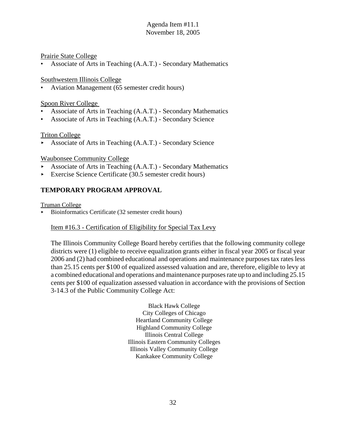#### Prairie State College

• Associate of Arts in Teaching (A.A.T.) - Secondary Mathematics

#### Southwestern Illinois College

• Aviation Management (65 semester credit hours)

#### Spoon River College

- Associate of Arts in Teaching (A.A.T.) Secondary Mathematics
- Associate of Arts in Teaching (A.A.T.) Secondary Science

#### Triton College

 $\blacktriangleright$  Associate of Arts in Teaching (A.A.T.) - Secondary Science

#### Waubonsee Community College

- Associate of Arts in Teaching  $(A.A.T.)$  Secondary Mathematics
- Exercise Science Certificate  $(30.5 \text{ semester credit hours})$

## **TEMPORARY PROGRAM APPROVAL**

Truman College

< Bioinformatics Certificate (32 semester credit hours)

## Item #16.3 - Certification of Eligibility for Special Tax Levy

The Illinois Community College Board hereby certifies that the following community college districts were (1) eligible to receive equalization grants either in fiscal year 2005 or fiscal year 2006 and (2) had combined educational and operations and maintenance purposes tax rates less than 25.15 cents per \$100 of equalized assessed valuation and are, therefore, eligible to levy at a combined educational and operations and maintenance purposes rate up to and including 25.15 cents per \$100 of equalization assessed valuation in accordance with the provisions of Section 3-14.3 of the Public Community College Act:

> Black Hawk College City Colleges of Chicago Heartland Community College Highland Community College Illinois Central College Illinois Eastern Community Colleges Illinois Valley Community College Kankakee Community College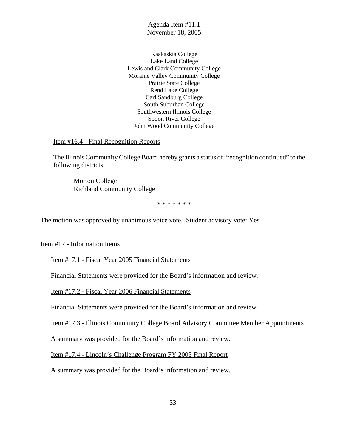Kaskaskia College Lake Land College Lewis and Clark Community College Moraine Valley Community College Prairie State College Rend Lake College Carl Sandburg College South Suburban College Southwestern Illinois College Spoon River College John Wood Community College

Item #16.4 - Final Recognition Reports

The Illinois Community College Board hereby grants a status of "recognition continued" to the following districts:

Morton College Richland Community College

\* \* \* \* \* \* \*

The motion was approved by unanimous voice vote. Student advisory vote: Yes.

Item #17 - Information Items

Item #17.1 - Fiscal Year 2005 Financial Statements

Financial Statements were provided for the Board's information and review.

Item #17.2 - Fiscal Year 2006 Financial Statements

Financial Statements were provided for the Board's information and review.

Item #17.3 - Illinois Community College Board Advisory Committee Member Appointments

A summary was provided for the Board's information and review.

Item #17.4 - Lincoln's Challenge Program FY 2005 Final Report

A summary was provided for the Board's information and review.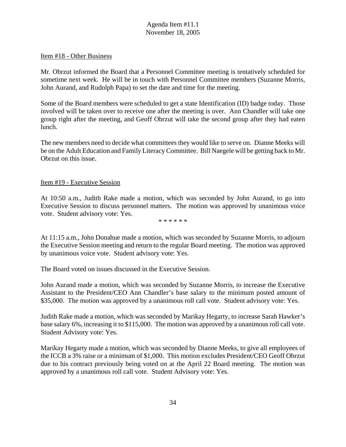#### Item #18 - Other Business

Mr. Obrzut informed the Board that a Personnel Committee meeting is tentatively scheduled for sometime next week. He will be in touch with Personnel Committee members (Suzanne Morris, John Aurand, and Rudolph Papa) to set the date and time for the meeting.

Some of the Board members were scheduled to get a state Identification (ID) badge today. Those involved will be taken over to receive one after the meeting is over. Ann Chandler will take one group right after the meeting, and Geoff Obrzut will take the second group after they had eaten lunch.

The new members need to decide what committees they would like to serve on. Dianne Meeks will be on the Adult Education and Family Literacy Committee. Bill Naegele will be getting back to Mr. Obrzut on this issue.

#### Item #19 - Executive Session

At 10:50 a.m., Judith Rake made a motion, which was seconded by John Aurand, to go into Executive Session to discuss personnel matters. The motion was approved by unanimous voice vote. Student advisory vote: Yes.

\* \* \* \* \* \*

At 11:15 a.m., John Donahue made a motion, which was seconded by Suzanne Morris, to adjourn the Executive Session meeting and return to the regular Board meeting. The motion was approved by unanimous voice vote. Student advisory vote: Yes.

The Board voted on issues discussed in the Executive Session.

John Aurand made a motion, which was seconded by Suzanne Morris, to increase the Executive Assistant to the President/CEO Ann Chandler's base salary to the minimum posted amount of \$35,000. The motion was approved by a unanimous roll call vote. Student advisory vote: Yes.

Judith Rake made a motion, which was seconded by Marikay Hegarty, to increase Sarah Hawker's base salary 6%, increasing it to \$115,000. The motion was approved by a unanimous roll call vote. Student Advisory vote: Yes.

Marikay Hegarty made a motion, which was seconded by Dianne Meeks, to give all employees of the ICCB a 3% raise or a minimum of \$1,000. This motion excludes President/CEO Geoff Obrzut due to his contract previously being voted on at the April 22 Board meeting. The motion was approved by a unanimous roll call vote. Student Advisory vote: Yes.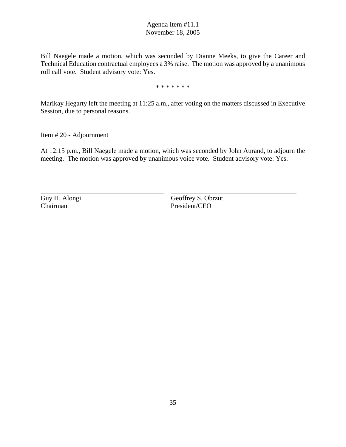Bill Naegele made a motion, which was seconded by Dianne Meeks, to give the Career and Technical Education contractual employees a 3% raise. The motion was approved by a unanimous roll call vote. Student advisory vote: Yes.

\* \* \* \* \* \* \*

Marikay Hegarty left the meeting at 11:25 a.m., after voting on the matters discussed in Executive Session, due to personal reasons.

Item # 20 - Adjournment

At 12:15 p.m., Bill Naegele made a motion, which was seconded by John Aurand, to adjourn the meeting. The motion was approved by unanimous voice vote. Student advisory vote: Yes.

 $\overline{a}$ 

Guy H. Alongi Geoffrey S. Obrzut Chairman President/CEO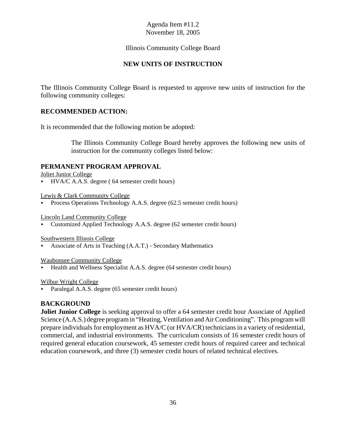#### Illinois Community College Board

#### **NEW UNITS OF INSTRUCTION**

The Illinois Community College Board is requested to approve new units of instruction for the following community colleges:

#### **RECOMMENDED ACTION:**

It is recommended that the following motion be adopted:

The Illinois Community College Board hereby approves the following new units of instruction for the community colleges listed below:

#### **PERMANENT PROGRAM APPROVAL**

Joliet Junior College

 $\blacktriangleright$  HVA/C A.A.S. degree (64 semester credit hours)

Lewis & Clark Community College

Process Operations Technology A.A.S. degree  $(62.5 \text{ semester credit hours})$ 

Lincoln Land Community College

< Customized Applied Technology A.A.S. degree (62 semester credit hours)

Southwestern Illinois College

< Associate of Arts in Teaching (A.A.T.) - Secondary Mathematics

Waubonsee Community College

< Health and Wellness Specialist A.A.S. degree (64 semester credit hours)

Wilbur Wright College

Paralegal A.A.S. degree (65 semester credit hours)

#### **BACKGROUND**

**Joliet Junior College** is seeking approval to offer a 64 semester credit hour Associate of Applied Science (A.A.S.) degree program in "Heating, Ventilation and Air Conditioning". This program will prepare individuals for employment as HVA/C (or HVA/CR) technicians in a variety of residential, commercial, and industrial environments. The curriculum consists of 16 semester credit hours of required general education coursework, 45 semester credit hours of required career and technical education coursework, and three (3) semester credit hours of related technical electives.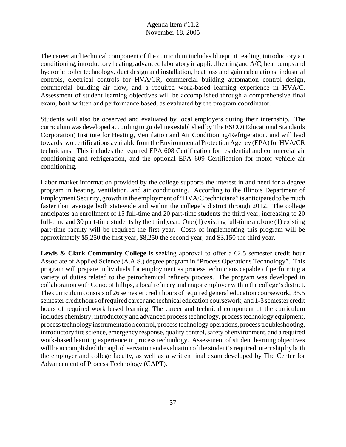The career and technical component of the curriculum includes blueprint reading, introductory air conditioning, introductory heating, advanced laboratory in applied heating and A/C, heat pumps and hydronic boiler technology, duct design and installation, heat loss and gain calculations, industrial controls, electrical controls for HVA/CR, commercial building automation control design, commercial building air flow, and a required work-based learning experience in HVA/C. Assessment of student learning objectives will be accomplished through a comprehensive final exam, both written and performance based, as evaluated by the program coordinator.

Students will also be observed and evaluated by local employers during their internship. The curriculum was developed according to guidelines established by The ESCO (Educational Standards Corporation) Institute for Heating, Ventilation and Air Conditioning/Refrigeration, and will lead towards two certifications available from the Environmental Protection Agency (EPA) for HVA/CR technicians. This includes the required EPA 608 Certification for residential and commercial air conditioning and refrigeration, and the optional EPA 609 Certification for motor vehicle air conditioning.

Labor market information provided by the college supports the interest in and need for a degree program in heating, ventilation, and air conditioning. According to the Illinois Department of Employment Security, growth in the employment of "HVA/C technicians" is anticipated to be much faster than average both statewide and within the college's district through 2012. The college anticipates an enrollment of 15 full-time and 20 part-time students the third year, increasing to 20 full-time and 30 part-time students by the third year. One (1) existing full-time and one (1) existing part-time faculty will be required the first year. Costs of implementing this program will be approximately \$5,250 the first year, \$8,250 the second year, and \$3,150 the third year.

Lewis & Clark Community College is seeking approval to offer a 62.5 semester credit hour Associate of Applied Science (A.A.S.) degree program in "Process Operations Technology". This program will prepare individuals for employment as process technicians capable of performing a variety of duties related to the petrochemical refinery process. The program was developed in collaboration with ConocoPhillips, a local refinery and major employer within the college's district. The curriculum consists of 26 semester credit hours of required general education coursework, 35.5 semester credit hours of required career and technical education coursework, and 1-3 semester credit hours of required work based learning. The career and technical component of the curriculum includes chemistry, introductory and advanced process technology, process technology equipment, process technology instrumentation control, process technology operations, process troubleshooting, introductory fire science, emergency response, quality control, safety of environment, and a required work-based learning experience in process technology. Assessment of student learning objectives will be accomplished through observation and evaluation of the student's required internship by both the employer and college faculty, as well as a written final exam developed by The Center for Advancement of Process Technology (CAPT).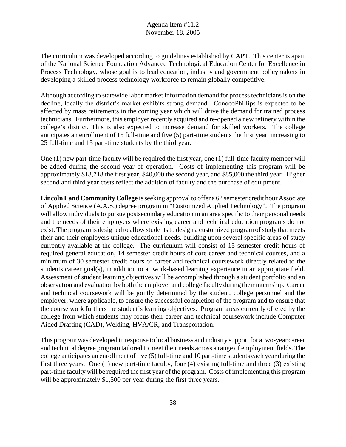The curriculum was developed according to guidelines established by CAPT. This center is apart of the National Science Foundation Advanced Technological Education Center for Excellence in Process Technology, whose goal is to lead education, industry and government policymakers in developing a skilled process technology workforce to remain globally competitive.

Although according to statewide labor market information demand for process technicians is on the decline, locally the district's market exhibits strong demand. ConocoPhillips is expected to be affected by mass retirements in the coming year which will drive the demand for trained process technicians. Furthermore, this employer recently acquired and re-opened a new refinery within the college's district. This is also expected to increase demand for skilled workers. The college anticipates an enrollment of 15 full-time and five (5) part-time students the first year, increasing to 25 full-time and 15 part-time students by the third year.

One (1) new part-time faculty will be required the first year, one (1) full-time faculty member will be added during the second year of operation. Costs of implementing this program will be approximately \$18,718 the first year, \$40,000 the second year, and \$85,000 the third year. Higher second and third year costs reflect the addition of faculty and the purchase of equipment.

**Lincoln Land Community College** is seeking approval to offer a 62 semester credit hour Associate of Applied Science (A.A.S.) degree program in "Customized Applied Technology". The program will allow individuals to pursue postsecondary education in an area specific to their personal needs and the needs of their employers where existing career and technical education programs do not exist. The program is designed to allow students to design a customized program of study that meets their and their employers unique educational needs, building upon several specific areas of study currently available at the college. The curriculum will consist of 15 semester credit hours of required general education, 14 semester credit hours of core career and technical courses, and a minimum of 30 semester credit hours of career and technical coursework directly related to the students career goal(s), in addition to a work-based learning experience in an appropriate field. Assessment of student learning objectives will be accomplished through a student portfolio and an observation and evaluation by both the employer and college faculty during their internship. Career and technical coursework will be jointly determined by the student, college personnel and the employer, where applicable, to ensure the successful completion of the program and to ensure that the course work furthers the student's learning objectives. Program areas currently offered by the college from which students may focus their career and technical coursework include Computer Aided Drafting (CAD), Welding, HVA/CR, and Transportation.

This program was developed in response to local business and industry support for a two-year career and technical degree program tailored to meet their needs across a range of employment fields. The college anticipates an enrollment of five (5) full-time and 10 part-time students each year during the first three years. One (1) new part-time faculty, four (4) existing full-time and three (3) existing part-time faculty will be required the first year of the program. Costs of implementing this program will be approximately \$1,500 per year during the first three years.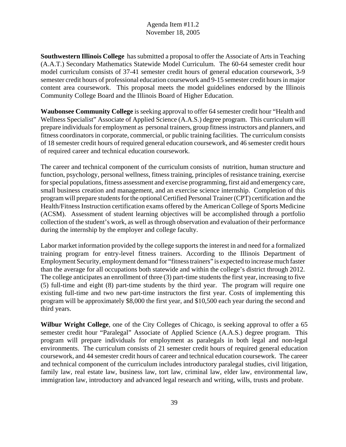**Southwestern Illinois College** has submitted a proposal to offer the Associate of Arts in Teaching (A.A.T.) Secondary Mathematics Statewide Model Curriculum. The 60-64 semester credit hour model curriculum consists of 37-41 semester credit hours of general education coursework, 3-9 semester credit hours of professional education coursework and 9-15 semester credit hours in major content area coursework. This proposal meets the model guidelines endorsed by the Illinois Community College Board and the Illinois Board of Higher Education.

**Waubonsee Community College** is seeking approval to offer 64 semester credit hour "Health and Wellness Specialist" Associate of Applied Science (A.A.S.) degree program. This curriculum will prepare individuals for employment as personal trainers, group fitness instructors and planners, and fitness coordinators in corporate, commercial, or public training facilities. The curriculum consists of 18 semester credit hours of required general education coursework, and 46 semester credit hours of required career and technical education coursework.

The career and technical component of the curriculum consists of nutrition, human structure and function, psychology, personal wellness, fitness training, principles of resistance training, exercise for special populations, fitness assessment and exercise programming, first aid and emergency care, small business creation and management, and an exercise science internship. Completion of this program will prepare students for the optional Certified Personal Trainer (CPT) certification and the Health/Fitness Instruction certification exams offered by the American College of Sports Medicine (ACSM). Assessment of student learning objectives will be accomplished through a portfolio collection of the student's work, as well as through observation and evaluation of their performance during the internship by the employer and college faculty.

Labor market information provided by the college supports the interest in and need for a formalized training program for entry-level fitness trainers. According to the Illinois Department of Employment Security, employment demand for "fitness trainers" is expected to increase much faster than the average for all occupations both statewide and within the college's district through 2012. The college anticipates an enrollment of three (3) part-time students the first year, increasing to five (5) full-time and eight (8) part-time students by the third year. The program will require one existing full-time and two new part-time instructors the first year. Costs of implementing this program will be approximately \$8,000 the first year, and \$10,500 each year during the second and third years.

**Wilbur Wright College**, one of the City Colleges of Chicago, is seeking approval to offer a 65 semester credit hour "Paralegal" Associate of Applied Science (A.A.S.) degree program. This program will prepare individuals for employment as paralegals in both legal and non-legal environments. The curriculum consists of 21 semester credit hours of required general education coursework, and 44 semester credit hours of career and technical education coursework. The career and technical component of the curriculum includes introductory paralegal studies, civil litigation, family law, real estate law, business law, tort law, criminal law, elder law, environmental law, immigration law, introductory and advanced legal research and writing, wills, trusts and probate.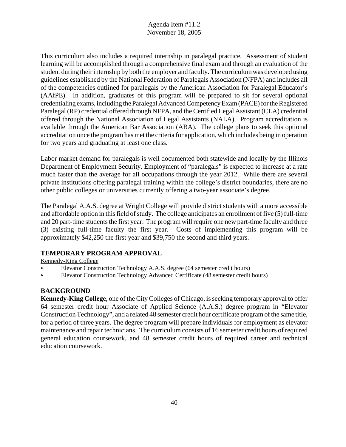This curriculum also includes a required internship in paralegal practice. Assessment of student learning will be accomplished through a comprehensive final exam and through an evaluation of the student during their internship by both the employer and faculty. The curriculum was developed using guidelines established by the National Federation of Paralegals Association (NFPA) and includes all of the competencies outlined for paralegals by the American Association for Paralegal Educator's (AAfPE). In addition, graduates of this program will be prepared to sit for several optional credentialing exams, including the Paralegal Advanced Competency Exam (PACE) for the Registered Paralegal (RP) credential offered through NFPA, and the Certified Legal Assistant (CLA) credential offered through the National Association of Legal Assistants (NALA). Program accreditation is available through the American Bar Association (ABA). The college plans to seek this optional accreditation once the program has met the criteria for application, which includes being in operation for two years and graduating at least one class.

Labor market demand for paralegals is well documented both statewide and locally by the Illinois Department of Employment Security. Employment of "paralegals" is expected to increase at a rate much faster than the average for all occupations through the year 2012. While there are several private institutions offering paralegal training within the college's district boundaries, there are no other public colleges or universities currently offering a two-year associate's degree.

The Paralegal A.A.S. degree at Wright College will provide district students with a more accessible and affordable option in this field of study. The college anticipates an enrollment of five (5) full-time and 20 part-time students the first year. The program will require one new part-time faculty and three (3) existing full-time faculty the first year. Costs of implementing this program will be approximately \$42,250 the first year and \$39,750 the second and third years.

## **TEMPORARY PROGRAM APPROVAL**

Kennedy-King College

- < Elevator Construction Technology A.A.S. degree (64 semester credit hours)
- Elevator Construction Technology Advanced Certificate (48 semester credit hours)

## **BACKGROUND**

**Kennedy-King College**, one of the City Colleges of Chicago, is seeking temporary approval to offer 64 semester credit hour Associate of Applied Science (A.A.S.) degree program in "Elevator Construction Technology", and a related 48 semester credit hour certificate program of the same title, for a period of three years. The degree program will prepare individuals for employment as elevator maintenance and repair technicians. The curriculum consists of 16 semester credit hours of required general education coursework, and 48 semester credit hours of required career and technical education coursework.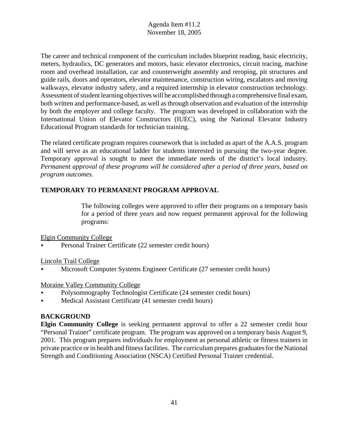The career and technical component of the curriculum includes blueprint reading, basic electricity, meters, hydraulics, DC generators and motors, basic elevator electronics, circuit tracing, machine room and overhead installation, car and counterweight assembly and reroping, pit structures and guide rails, doors and operators, elevator maintenance, construction wiring, escalators and moving walkways, elevator industry safety, and a required internship in elevator construction technology. Assessment of student learning objectives will be accomplished through a comprehensive final exam, both written and performance-based, as well as through observation and evaluation of the internship by both the employer and college faculty. The program was developed in collaboration with the International Union of Elevator Constructors (IUEC), using the National Elevator Industry Educational Program standards for technician training.

The related certificate program requires coursework that is included as apart of the A.A.S. program and will serve as an educational ladder for students interested in pursuing the two-year degree. Temporary approval is sought to meet the immediate needs of the district's local industry. *Permanent approval of these programs will be considered after a period of three years, based on program outcomes.* 

## **TEMPORARY TO PERMANENT PROGRAM APPROVAL**

The following colleges were approved to offer their programs on a temporary basis for a period of three years and now request permanent approval for the following programs:

#### Elgin Community College

< Personal Trainer Certificate (22 semester credit hours)

#### Lincoln Trail College

< Microsoft Computer Systems Engineer Certificate (27 semester credit hours)

#### Moraine Valley Community College

- < Polysomnography Technologist Certificate (24 semester credit hours)
- < Medical Assistant Certificate (41 semester credit hours)

## **BACKGROUND**

**Elgin Community College** is seeking permanent approval to offer a 22 semester credit hour "Personal Trainer" certificate program. The program was approved on a temporary basis August 9, 2001. This program prepares individuals for employment as personal athletic or fitness trainers in private practice or in health and fitness facilities. The curriculum prepares graduates for the National Strength and Conditioning Association (NSCA) Certified Personal Trainer credential.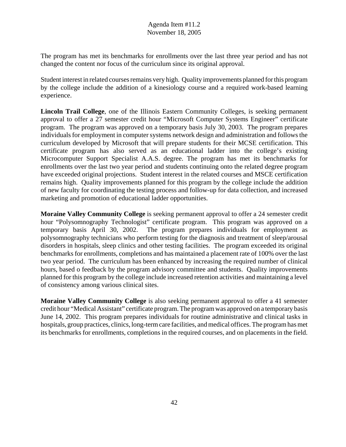The program has met its benchmarks for enrollments over the last three year period and has not changed the content nor focus of the curriculum since its original approval.

Student interest in related courses remains very high. Quality improvements planned for this program by the college include the addition of a kinesiology course and a required work-based learning experience.

**Lincoln Trail College**, one of the Illinois Eastern Community Colleges, is seeking permanent approval to offer a 27 semester credit hour "Microsoft Computer Systems Engineer" certificate program. The program was approved on a temporary basis July 30, 2003. The program prepares individuals for employment in computer systems network design and administration and follows the curriculum developed by Microsoft that will prepare students for their MCSE certification. This certificate program has also served as an educational ladder into the college's existing Microcomputer Support Specialist A.A.S. degree. The program has met its benchmarks for enrollments over the last two year period and students continuing onto the related degree program have exceeded original projections. Student interest in the related courses and MSCE certification remains high. Quality improvements planned for this program by the college include the addition of new faculty for coordinating the testing process and follow-up for data collection, and increased marketing and promotion of educational ladder opportunities.

**Moraine Valley Community College** is seeking permanent approval to offer a 24 semester credit hour "Polysomnography Technologist" certificate program. This program was approved on a temporary basis April 30, 2002. The program prepares individuals for employment as polysomnography technicians who perform testing for the diagnosis and treatment of sleep/arousal disorders in hospitals, sleep clinics and other testing facilities. The program exceeded its original benchmarks for enrollments, completions and has maintained a placement rate of 100% over the last two year period. The curriculum has been enhanced by increasing the required number of clinical hours, based o feedback by the program advisory committee and students. Quality improvements planned for this program by the college include increased retention activities and maintaining a level of consistency among various clinical sites.

**Moraine Valley Community College** is also seeking permanent approval to offer a 41 semester credit hour "Medical Assistant" certificate program. The program was approved on a temporary basis June 14, 2002. This program prepares individuals for routine administrative and clinical tasks in hospitals, group practices, clinics, long-term care facilities, and medical offices. The program has met its benchmarks for enrollments, completions in the required courses, and on placements in the field.